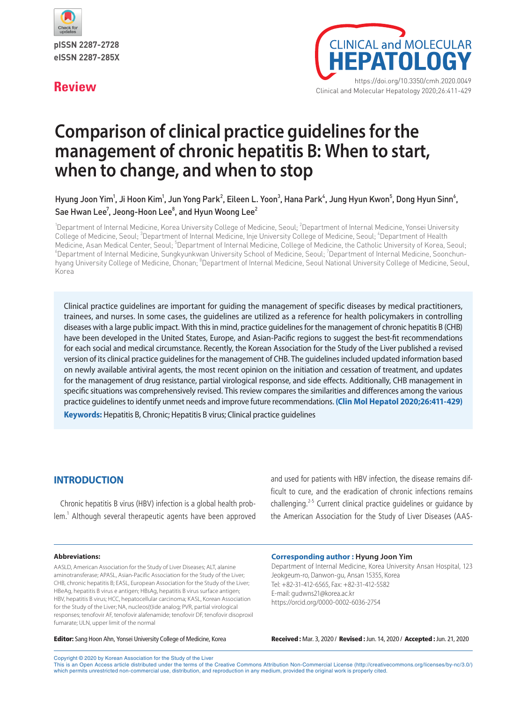

pISSN 2287-2728 eISSN 2287-285X



# **Comparison of clinical practice guidelines for the management of chronic hepatitis B: When to start, when to change, and when to stop**

Hyung Joon Yim<sup>1</sup>, Ji Hoon Kim<sup>1</sup>, Jun Yong Park<sup>2</sup>, Eileen L. Yoon<sup>3</sup>, Hana Park<sup>4</sup>, Jung Hyun Kwon<sup>5</sup>, Dong Hyun Sinn<sup>6</sup>, Sae Hwan Lee $^7$ , Jeong-Hoon Lee $^8$ , and Hyun Woong Lee $^2$ 

<sup>1</sup>Department of Internal Medicine, Korea University College of Medicine, Seoul; <sup>2</sup>Department of Internal Medicine, Yonsei University College of Medicine, Seoul; <sup>3</sup>Department of Internal Medicine, Inje University College of Medicine, Seoul; <sup>4</sup>Department of Health Medicine, Asan Medical Center, Seoul; <sup>5</sup>Department of Internal Medicine, College of Medicine, the Catholic University of Korea, Seoul;<br><sup>6</sup>Department of Internal Medicine, Sunglew player University Sebeal of Medicine, Seou Department of Internal Medicine, Sungkyunkwan University School of Medicine, Seoul; <sup>7</sup>Department of Internal Medicine, Soonchunhyang University College of Medicine, Chonan; <sup>8</sup>Department of Internal Medicine, Seoul National University College of Medicine, Seoul, Korea

Clinical practice guidelines are important for guiding the management of specific diseases by medical practitioners, trainees, and nurses. In some cases, the guidelines are utilized as a reference for health policymakers in controlling diseases with a large public impact. With this in mind, practice guidelines for the management of chronic hepatitis B (CHB) have been developed in the United States, Europe, and Asian-Pacific regions to suggest the best-fit recommendations for each social and medical circumstance. Recently, the Korean Association for the Study of the Liver published a revised version of its clinical practice guidelines for the management of CHB. The guidelines included updated information based on newly available antiviral agents, the most recent opinion on the initiation and cessation of treatment, and updates for the management of drug resistance, partial virological response, and side effects. Additionally, CHB management in specific situations was comprehensively revised. This review compares the similarities and differences among the various practice guidelines to identify unmet needs and improve future recommendations. **(Clin Mol Hepatol 2020;26:411-429)**

**Keywords:** Hepatitis B, Chronic; Hepatitis B virus; Clinical practice guidelines

# **INTRODUCTION**

Chronic hepatitis B virus (HBV) infection is a global health problem.<sup>1</sup> Although several therapeutic agents have been approved and used for patients with HBV infection, the disease remains difficult to cure, and the eradication of chronic infections remains challenging.<sup>2-5</sup> Current clinical practice guidelines or guidance by the American Association for the Study of Liver Diseases (AAS-

Department of Internal Medicine, Korea University Ansan Hospital, 123

#### **Abbreviations:**

AASLD, American Association for the Study of Liver Diseases; ALT, alanine aminotransferase; APASL, Asian-Pacific Association for the Study of the Liver; CHB, chronic hepatitis B; EASL, European Association for the Study of the Liver; HBeAg, hepatitis B virus e antigen; HBsAg, hepatitis B virus surface antigen; HBV, hepatitis B virus; HCC, hepatocellular carcinoma; KASL, Korean Association for the Study of the Liver; NA, nucleos(t)ide analog; PVR, partial virological responses; tenofovir AF, tenofovir alafenamide; tenofovir DF, tenofovir disoproxil fumarate; ULN, upper limit of the normal

Jeokgeum-ro, Danwon-gu, Ansan 15355, Korea Tel: +82-31-412-6565, Fax: +82-31-412-5582

E-mail: gudwns21@korea.ac.kr https://orcid.org/0000-0002-6036-2754

**Corresponding author : Hyung Joon Yim**

Editor: Sang Hoon Ahn, Yonsei University College of Medicine, Korea Received : Mar. 3, 2020 / Revised : Jun. 14, 2020 / Accepted : Jun. 21, 2020

Copyright © 2020 by Korean Association for the Study of the Liver

This is an Open Access article distributed under the terms of the Creative Commons Attribution Non-Commercial License (http://creativecommons.org/licenses/by-nc/3.0/) which permits unrestricted non-commercial use, distribution, and reproduction in any medium, provided the original work is properly cited.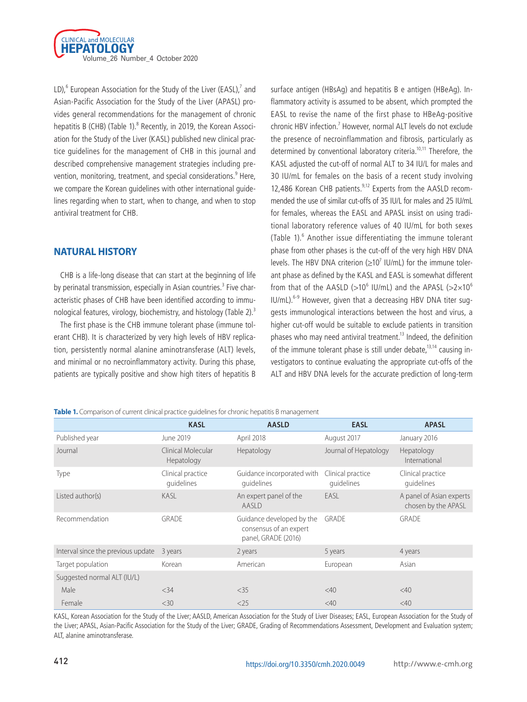

LD), $^6$  European Association for the Study of the Liver (EASL), $^7$  and Asian-Pacific Association for the Study of the Liver (APASL) provides general recommendations for the management of chronic hepatitis B (CHB) (Table 1).<sup>8</sup> Recently, in 2019, the Korean Association for the Study of the Liver (KASL) published new clinical practice guidelines for the management of CHB in this journal and described comprehensive management strategies including prevention, monitoring, treatment, and special considerations.<sup>9</sup> Here, we compare the Korean guidelines with other international guidelines regarding when to start, when to change, and when to stop antiviral treatment for CHB.

# **NATURAL HISTORY**

CHB is a life-long disease that can start at the beginning of life by perinatal transmission, especially in Asian countries.<sup>3</sup> Five characteristic phases of CHB have been identified according to immunological features, virology, biochemistry, and histology (Table 2).<sup>3</sup>

The first phase is the CHB immune tolerant phase (immune tolerant CHB). It is characterized by very high levels of HBV replication, persistently normal alanine aminotransferase (ALT) levels, and minimal or no necroinflammatory activity. During this phase, patients are typically positive and show high titers of hepatitis B surface antigen (HBsAg) and hepatitis B e antigen (HBeAg). Inflammatory activity is assumed to be absent, which prompted the EASL to revise the name of the first phase to HBeAg-positive chronic HBV infection.<sup>7</sup> However, normal ALT levels do not exclude the presence of necroinflammation and fibrosis, particularly as determined by conventional laboratory criteria.<sup>10,11</sup> Therefore, the KASL adjusted the cut-off of normal ALT to 34 IU/L for males and 30 IU/mL for females on the basis of a recent study involving 12,486 Korean CHB patients.<sup>9,12</sup> Experts from the AASLD recommended the use of similar cut-offs of 35 IU/L for males and 25 IU/mL for females, whereas the EASL and APASL insist on using traditional laboratory reference values of 40 IU/mL for both sexes (Table 1).<sup>6</sup> Another issue differentiating the immune tolerant phase from other phases is the cut-off of the very high HBV DNA levels. The HBV DNA criterion  $(\geq 10^7 \text{ IU/mL})$  for the immune tolerant phase as defined by the KASL and EASL is somewhat different from that of the AASLD (>10<sup>6</sup> IU/mL) and the APASL (>2×10<sup>6</sup> IU/mL).<sup>6-9</sup> However, given that a decreasing HBV DNA titer suggests immunological interactions between the host and virus, a higher cut-off would be suitable to exclude patients in transition phases who may need antiviral treatment.<sup>13</sup> Indeed, the definition of the immune tolerant phase is still under debate, $13,14$  causing investigators to continue evaluating the appropriate cut-offs of the ALT and HBV DNA levels for the accurate prediction of long-term

**Table 1.** Comparison of current clinical practice quidelines for chronic hepatitis B management

|                                    | <b>KASL</b>                      | <b>AASLD</b>                                                               | <b>EASL</b>                     | <b>APASL</b>                                    |
|------------------------------------|----------------------------------|----------------------------------------------------------------------------|---------------------------------|-------------------------------------------------|
| Published year                     | June 2019                        | April 2018                                                                 | August 2017                     | January 2016                                    |
| Journal                            | Clinical Molecular<br>Hepatology | Hepatology                                                                 | Journal of Hepatology           | Hepatology<br>International                     |
| Type                               | Clinical practice<br>quidelines  | Guidance incorporated with<br>quidelines                                   | Clinical practice<br>quidelines | Clinical practice<br>quidelines                 |
| Listed author(s)                   | KASL                             | An expert panel of the<br>AASLD                                            | <b>EASL</b>                     | A panel of Asian experts<br>chosen by the APASL |
| Recommendation                     | GRADE                            | Guidance developed by the<br>consensus of an expert<br>panel, GRADE (2016) | <b>GRADE</b>                    | <b>GRADE</b>                                    |
| Interval since the previous update | 3 years                          | 2 years                                                                    | 5 years                         | 4 years                                         |
| Target population                  | Korean                           | American                                                                   | European                        | Asian                                           |
| Suggested normal ALT (IU/L)        |                                  |                                                                            |                                 |                                                 |
| Male                               | $<$ 34                           | $<$ 35                                                                     | <40                             | <40                                             |
| Female                             | $<$ 30                           | $<$ 25                                                                     | <40                             | <40                                             |

KASL, Korean Association for the Study of the Liver; AASLD, American Association for the Study of Liver Diseases; EASL, European Association for the Study of the Liver; APASL, Asian-Pacific Association for the Study of the Liver; GRADE, Grading of Recommendations Assessment, Development and Evaluation system; ALT, alanine aminotransferase.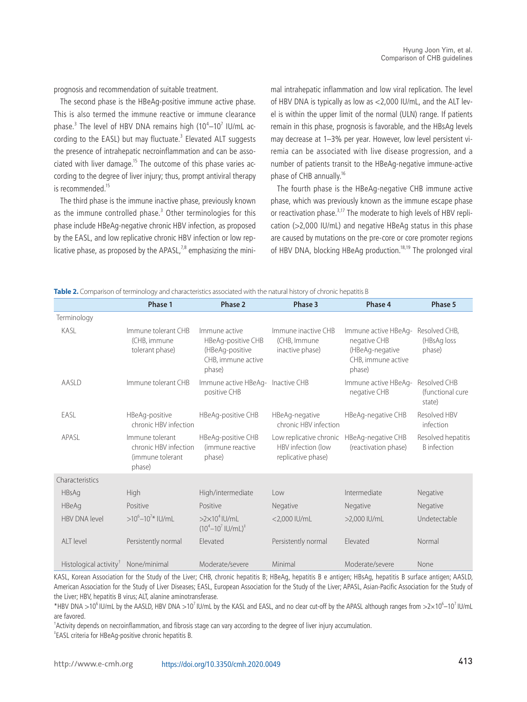prognosis and recommendation of suitable treatment.

The second phase is the HBeAg-positive immune active phase. This is also termed the immune reactive or immune clearance phase. $^3$  The level of HBV DNA remains high (10 $^4\text{--}$ 10 $^7$  IU/mL according to the EASL) but may fluctuate.<sup>3</sup> Elevated ALT suggests the presence of intrahepatic necroinflammation and can be associated with liver damage.<sup>15</sup> The outcome of this phase varies according to the degree of liver injury; thus, prompt antiviral therapy is recommended.<sup>15</sup>

The third phase is the immune inactive phase, previously known as the immune controlled phase.<sup>3</sup> Other terminologies for this phase include HBeAg-negative chronic HBV infection, as proposed by the EASL, and low replicative chronic HBV infection or low replicative phase, as proposed by the APASL, $78$  emphasizing the minimal intrahepatic inflammation and low viral replication. The level of HBV DNA is typically as low as <2,000 IU/mL, and the ALT level is within the upper limit of the normal (ULN) range. If patients remain in this phase, prognosis is favorable, and the HBsAg levels may decrease at 1–3% per year. However, low level persistent viremia can be associated with live disease progression, and a number of patients transit to the HBeAg-negative immune-active phase of CHB annually.<sup>16</sup>

The fourth phase is the HBeAg-negative CHB immune active phase, which was previously known as the immune escape phase or reactivation phase.<sup>3,17</sup> The moderate to high levels of HBV replication (>2,000 IU/mL) and negative HBeAg status in this phase are caused by mutations on the pre-core or core promoter regions of HBV DNA, blocking HBeAg production.<sup>18,19</sup> The prolonged viral

**Table 2.** Comparison of terminology and characteristics associated with the natural history of chronic hepatitis B

|                                    | Phase 1                                                                | Phase 2                                                                                | Phase 3                                                             | Phase 4                                                                                 | Phase 5                                    |
|------------------------------------|------------------------------------------------------------------------|----------------------------------------------------------------------------------------|---------------------------------------------------------------------|-----------------------------------------------------------------------------------------|--------------------------------------------|
| Terminology                        |                                                                        |                                                                                        |                                                                     |                                                                                         |                                            |
| KASL                               | Immune tolerant CHB<br>(CHB, immune<br>tolerant phase)                 | Immune active<br>HBeAg-positive CHB<br>(HBeAg-positive<br>CHB, immune active<br>phase) | Immune inactive CHB<br>(CHB, Immune<br>inactive phase)              | Immune active HBeAg-<br>negative CHB<br>(HBeAg-negative<br>CHB, immune active<br>phase) | Resolved CHB.<br>(HBsAg loss<br>phase)     |
| AASI D                             | Immune tolerant CHB                                                    | Immune active HBeAg- Inactive CHB<br>positive CHB                                      |                                                                     | Immune active HBeAg-<br>negative CHB                                                    | Resolved CHB<br>(functional cure<br>state) |
| EASL                               | HBeAg-positive<br>chronic HBV infection                                | HBeAg-positive CHB                                                                     | HBeAg-negative<br>chronic HBV infection                             | HBeAg-negative CHB                                                                      | Resolved HBV<br>infection                  |
| APASI                              | Immune tolerant<br>chronic HBV infection<br>(immune tolerant<br>phase) | HBeAg-positive CHB<br>(immune reactive<br>phase)                                       | Low replicative chronic<br>HBV infection (low<br>replicative phase) | HBeAg-negative CHB<br>(reactivation phase)                                              | Resolved hepatitis<br><b>B</b> infection   |
| Characteristics                    |                                                                        |                                                                                        |                                                                     |                                                                                         |                                            |
| <b>HBsAg</b>                       | High                                                                   | High/intermediate                                                                      | low                                                                 | Intermediate                                                                            | Negative                                   |
| <b>HBeAg</b>                       | Positive                                                               | Positive                                                                               | Negative                                                            | Negative                                                                                | Negative                                   |
| <b>HBV DNA level</b>               | $>10^{6}-10^{7*}$ IU/mL                                                | $>2\times10^4$ IU/mL<br>$(10^4 - 10^7 \text{ IU/mL})^{\ddagger}$                       | <2,000 IU/mL                                                        | >2,000 IU/mL                                                                            | Undetectable                               |
| AIT level                          | Persistently normal                                                    | Flevated                                                                               | Persistently normal                                                 | Flevated                                                                                | Normal                                     |
| Histological activity <sup>™</sup> | None/minimal                                                           | Moderate/severe                                                                        | Minimal                                                             | Moderate/severe                                                                         | None                                       |

KASL, Korean Association for the Study of the Liver; CHB, chronic hepatitis B; HBeAg, hepatitis B e antigen; HBsAg, hepatitis B surface antigen; AASLD, American Association for the Study of Liver Diseases; EASL, European Association for the Study of the Liver; APASL, Asian-Pacific Association for the Study of the Liver; HBV, hepatitis B virus; ALT, alanine aminotransferase.

\*HBV DNA >10<sup>6</sup> IU/mL by the AASLD, HBV DNA >10<sup>7</sup> IU/mL by the KASL and EASL, and no clear cut-off by the APASL although ranges from >2×10<sup>6</sup>-10<sup>7</sup> IU/mL are favored.

† Activity depends on necroinflammation, and fibrosis stage can vary according to the degree of liver injury accumulation.

‡ EASL criteria for HBeAg-positive chronic hepatitis B.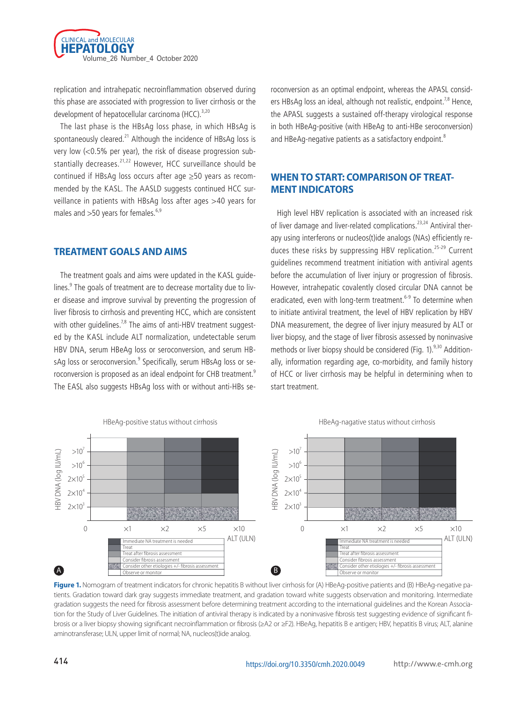

replication and intrahepatic necroinflammation observed during this phase are associated with progression to liver cirrhosis or the development of hepatocellular carcinoma (HCC).<sup>3,20</sup>

The last phase is the HBsAg loss phase, in which HBsAg is spontaneously cleared.<sup>21</sup> Although the incidence of HBsAq loss is very low (<0.5% per year), the risk of disease progression substantially decreases.<sup>21,22</sup> However, HCC surveillance should be continued if HBsAg loss occurs after age ≥50 years as recommended by the KASL. The AASLD suggests continued HCC surveillance in patients with HBsAg loss after ages >40 years for males and  $>50$  years for females.<sup>6,9</sup>

#### **TREATMENT GOALS AND AIMS**

The treatment goals and aims were updated in the KASL guidelines.<sup>9</sup> The goals of treatment are to decrease mortality due to liver disease and improve survival by preventing the progression of liver fibrosis to cirrhosis and preventing HCC, which are consistent with other quidelines.<sup>7,8</sup> The aims of anti-HBV treatment suggested by the KASL include ALT normalization, undetectable serum HBV DNA, serum HBeAg loss or seroconversion, and serum HBsAg loss or seroconversion. $^9$  Specifically, serum HBsAg loss or seroconversion is proposed as an ideal endpoint for CHB treatment.<sup>9</sup> The EASL also suggests HBsAg loss with or without anti-HBs seroconversion as an optimal endpoint, whereas the APASL considers HBsAg loss an ideal, although not realistic, endpoint.<sup>7,8</sup> Hence, the APASL suggests a sustained off-therapy virological response in both HBeAg-positive (with HBeAg to anti-HBe seroconversion) and HBeAg-negative patients as a satisfactory endpoint.<sup>8</sup>

# **WHEN TO START: COMPARISON OF TREAT-MENT INDICATORS**

High level HBV replication is associated with an increased risk of liver damage and liver-related complications.<sup>23,24</sup> Antiviral therapy using interferons or nucleos(t)ide analogs (NAs) efficiently reduces these risks by suppressing HBV replication.<sup>25-29</sup> Current guidelines recommend treatment initiation with antiviral agents before the accumulation of liver injury or progression of fibrosis. However, intrahepatic covalently closed circular DNA cannot be eradicated, even with long-term treatment.<sup>6-9</sup> To determine when to initiate antiviral treatment, the level of HBV replication by HBV DNA measurement, the degree of liver injury measured by ALT or liver biopsy, and the stage of liver fibrosis assessed by noninvasive methods or liver biopsy should be considered (Fig.  $1$ ).<sup>9,30</sup> Additionally, information regarding age, co-morbidity, and family history of HCC or liver cirrhosis may be helpful in determining when to start treatment.



**Figure 1.** Nomogram of treatment indicators for chronic hepatitis B without liver cirrhosis for (A) HBeAg-positive patients and (B) HBeAg-negative patients. Gradation toward dark gray suggests immediate treatment, and gradation toward white suggests observation and monitoring. Intermediate gradation suggests the need for fibrosis assessment before determining treatment according to the international guidelines and the Korean Association for the Study of Liver Guidelines. The initiation of antiviral therapy is indicated by a noninvasive fibrosis test suggesting evidence of significant fibrosis or a liver biopsy showing significant necroinflammation or fibrosis (≥A2 or ≥F2). HBeAg, hepatitis B e antigen; HBV, hepatitis B virus; ALT, alanine aminotransferase; ULN, upper limit of normal; NA, nucleos(t)ide analog.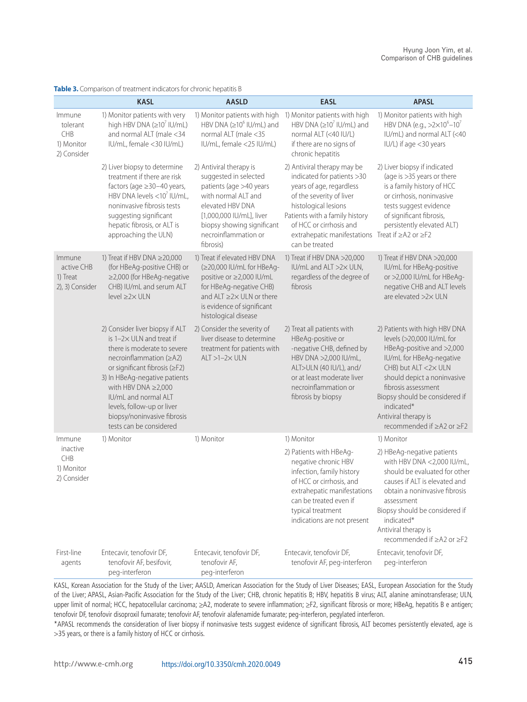|                                                        | <b>KASL</b>                                                                                                                                                                                                                                                                                                                                | <b>AASLD</b>                                                                                                                                                                                                          | <b>EASL</b>                                                                                                                                                                                                                                                                 | <b>APASL</b>                                                                                                                                                                                                                                                                                           |
|--------------------------------------------------------|--------------------------------------------------------------------------------------------------------------------------------------------------------------------------------------------------------------------------------------------------------------------------------------------------------------------------------------------|-----------------------------------------------------------------------------------------------------------------------------------------------------------------------------------------------------------------------|-----------------------------------------------------------------------------------------------------------------------------------------------------------------------------------------------------------------------------------------------------------------------------|--------------------------------------------------------------------------------------------------------------------------------------------------------------------------------------------------------------------------------------------------------------------------------------------------------|
| Immune<br>tolerant<br>CHB<br>1) Monitor<br>2) Consider | 1) Monitor patients with very<br>high HBV DNA $(\geq 10^7 \text{ IU/mL})$<br>and normal ALT (male <34<br>IU/mL, female <30 IU/mL)                                                                                                                                                                                                          | HBV DNA ( $\geq$ 10 <sup>6</sup> IU/mL) and<br>normal ALT (male <35<br>IU/mL, female <25 IU/mL)                                                                                                                       | 1) Monitor patients with high 1) Monitor patients with high<br>HBV DNA ( $\geq$ 10 <sup>7</sup> IU/mL) and<br>normal ALT (<40 IU/L)<br>if there are no signs of<br>chronic hepatitis                                                                                        | 1) Monitor patients with high<br>HBV DNA (e.g., $>2\times10^{6}-10^{7}$<br>IU/mL) and normal ALT (<40<br>IU/L) if age <30 years                                                                                                                                                                        |
|                                                        | 2) Liver biopsy to determine<br>treatment if there are risk<br>factors (age ≥30-40 years,<br>HBV DNA levels $<$ 10 <sup>7</sup> IU/mL,<br>noninvasive fibrosis tests<br>suggesting significant<br>hepatic fibrosis, or ALT is<br>approaching the ULN)                                                                                      | 2) Antiviral therapy is<br>suggested in selected<br>patients (age >40 years<br>with normal ALT and<br>elevated HBV DNA<br>[1,000,000 IU/mL], liver<br>biopsy showing significant<br>necroinflammation or<br>fibrosis) | 2) Antiviral therapy may be<br>indicated for patients >30<br>years of age, regardless<br>of the severity of liver<br>histological lesions<br>Patients with a family history<br>of HCC or cirrhosis and<br>extrahepatic manifestations Treat if ≥A2 or ≥F2<br>can be treated | 2) Liver biopsy if indicated<br>(age is >35 years or there<br>is a family history of HCC<br>or cirrhosis, noninvasive<br>tests suggest evidence<br>of significant fibrosis,<br>persistently elevated ALT)                                                                                              |
| Immune<br>active CHB<br>1) Treat<br>2), 3) Consider    | 1) Treat if HBV DNA ≥20,000<br>(for HBeAg-positive CHB) or<br>≥2,000 (for HBeAg-negative<br>CHB) IU/mL and serum ALT<br>$level \geq 2 \times ULN$                                                                                                                                                                                          | 1) Treat if elevated HBV DNA<br>(≥20,000 IU/mL for HBeAg-<br>positive or ≥2,000 IU/mL<br>for HBeAg-negative CHB)<br>and ALT ≥2× ULN or there<br>is evidence of significant<br>histological disease                    | 1) Treat if HBV DNA >20,000<br>IU/mL and ALT >2× ULN,<br>regardless of the degree of<br>fibrosis                                                                                                                                                                            | 1) Treat if HBV DNA >20,000<br>IU/mL for HBeAg-positive<br>or >2,000 IU/mL for HBeAg-<br>negative CHB and ALT levels<br>are elevated >2× ULN                                                                                                                                                           |
|                                                        | 2) Consider liver biopsy if ALT<br>is 1-2× ULN and treat if<br>there is moderate to severe<br>necroinflammation $(\geq A2)$<br>or significant fibrosis (≥F2)<br>3) In HBeAg-negative patients<br>with HBV DNA $\geq$ 2,000<br>IU/mL and normal ALT<br>levels, follow-up or liver<br>biopsy/noninvasive fibrosis<br>tests can be considered | 2) Consider the severity of<br>liver disease to determine<br>treatment for patients with<br>$ALT > 1-2 \times ULN$                                                                                                    | 2) Treat all patients with<br>HBeAg-positive or<br>-negative CHB, defined by<br>HBV DNA >2,000 IU/mL,<br>ALT>ULN (40 IU/L), and/<br>or at least moderate liver<br>necroinflammation or<br>fibrosis by biopsy                                                                | 2) Patients with high HBV DNA<br>levels (>20,000 IU/mL for<br>HBeAg-positive and >2,000<br>IU/mL for HBeAg-negative<br>CHB) but ALT <2× ULN<br>should depict a noninvasive<br>fibrosis assessment<br>Biopsy should be considered if<br>indicated*<br>Antiviral therapy is<br>recommended if ≥A2 or ≥F2 |
| Immune                                                 | 1) Monitor                                                                                                                                                                                                                                                                                                                                 | 1) Monitor                                                                                                                                                                                                            | 1) Monitor                                                                                                                                                                                                                                                                  | 1) Monitor                                                                                                                                                                                                                                                                                             |
| inactive<br>CHB<br>1) Monitor<br>2) Consider           |                                                                                                                                                                                                                                                                                                                                            |                                                                                                                                                                                                                       | 2) Patients with HBeAg-<br>negative chronic HBV<br>infection, family history<br>of HCC or cirrhosis, and<br>extrahepatic manifestations<br>can be treated even if<br>typical treatment<br>indications are not present                                                       | 2) HBeAg-negative patients<br>with HBV DNA <2,000 IU/mL,<br>should be evaluated for other<br>causes if ALT is elevated and<br>obtain a noninvasive fibrosis<br>assessment<br>Biopsy should be considered if<br>indicated*<br>Antiviral therapy is<br>recommended if ≥A2 or ≥F2                         |
| First-line<br>agents                                   | Entecavir, tenofovir DF,<br>tenofovir AF, besifovir,<br>peg-interferon                                                                                                                                                                                                                                                                     | Entecavir, tenofovir DF,<br>tenofovir AF,<br>peg-interferon                                                                                                                                                           | Entecavir, tenofovir DF,<br>tenofovir AF, peg-interferon                                                                                                                                                                                                                    | Entecavir, tenofovir DF,<br>peg-interferon                                                                                                                                                                                                                                                             |

**Table 3.** Comparison of treatment indicators for chronic hepatitis B

KASL, Korean Association for the Study of the Liver; AASLD, American Association for the Study of Liver Diseases; EASL, European Association for the Study of the Liver; APASL, Asian-Pacific Association for the Study of the Liver; CHB, chronic hepatitis B; HBV, hepatitis B virus; ALT, alanine aminotransferase; ULN, upper limit of normal; HCC, hepatocellular carcinoma; ≥A2, moderate to severe inflammation; ≥F2, significant fibrosis or more; HBeAg, hepatitis B e antigen; tenofovir DF, tenofovir disoproxil fumarate; tenofovir AF, tenofovir alafenamide fumarate; peg-interferon, pegylated interferon.

\*APASL recommends the consideration of liver biopsy if noninvasive tests suggest evidence of significant fibrosis, ALT becomes persistently elevated, age is >35 years, or there is a family history of HCC or cirrhosis.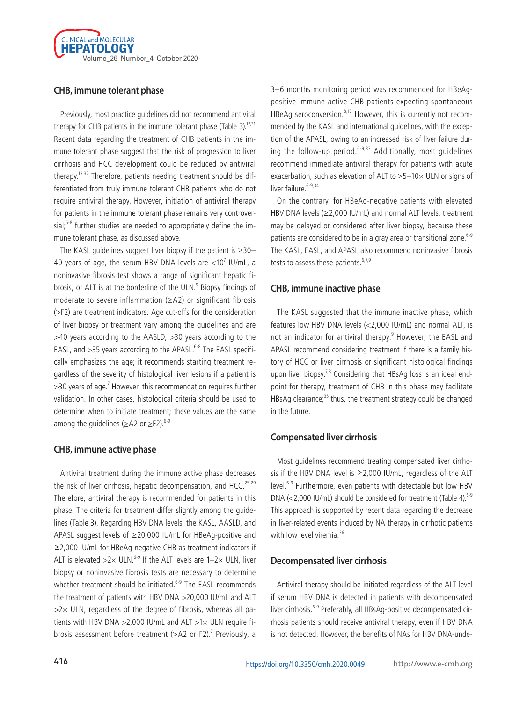

# **CHB, immune tolerant phase**

Previously, most practice guidelines did not recommend antiviral therapy for CHB patients in the immune tolerant phase (Table 3).<sup>17,31</sup> Recent data regarding the treatment of CHB patients in the immune tolerant phase suggest that the risk of progression to liver cirrhosis and HCC development could be reduced by antiviral therapy.<sup>13,32</sup> Therefore, patients needing treatment should be differentiated from truly immune tolerant CHB patients who do not require antiviral therapy. However, initiation of antiviral therapy for patients in the immune tolerant phase remains very controversial; $6-8$  further studies are needed to appropriately define the immune tolerant phase, as discussed above.

The KASL quidelines suggest liver biopsy if the patient is  $\geq 30-$ 40 years of age, the serum HBV DNA levels are  $<$ 10 $^7$  IU/mL, a noninvasive fibrosis test shows a range of significant hepatic fibrosis, or ALT is at the borderline of the ULN.<sup>9</sup> Biopsy findings of moderate to severe inflammation ( $\geq$ A2) or significant fibrosis (≥F2) are treatment indicators. Age cut-offs for the consideration of liver biopsy or treatment vary among the guidelines and are >40 years according to the AASLD, >30 years according to the EASL, and  $>35$  years according to the APASL.<sup>6-8</sup> The EASL specifically emphasizes the age; it recommends starting treatment regardless of the severity of histological liver lesions if a patient is  $>$ 30 years of age.<sup>7</sup> However, this recommendation requires further validation. In other cases, histological criteria should be used to determine when to initiate treatment; these values are the same among the quidelines ( $\geq$ A2 or  $\geq$ F2).<sup>6-9</sup>

#### **CHB, immune active phase**

Antiviral treatment during the immune active phase decreases the risk of liver cirrhosis, hepatic decompensation, and HCC.<sup>25-29</sup> Therefore, antiviral therapy is recommended for patients in this phase. The criteria for treatment differ slightly among the guidelines (Table 3). Regarding HBV DNA levels, the KASL, AASLD, and APASL suggest levels of ≥20,000 IU/mL for HBeAg-positive and ≥2,000 IU/mL for HBeAg-negative CHB as treatment indicators if ALT is elevated  $>2\times$  ULN.<sup>6-9</sup> If the ALT levels are 1-2 $\times$  ULN, liver biopsy or noninvasive fibrosis tests are necessary to determine whether treatment should be initiated.<sup>6-9</sup> The EASL recommends the treatment of patients with HBV DNA >20,000 IU/mL and ALT  $>2\times$  ULN, regardless of the degree of fibrosis, whereas all patients with HBV DNA >2,000 IU/mL and ALT >1× ULN require fibrosis assessment before treatment ( $\geq$ A2 or F2).<sup>7</sup> Previously, a

3–6 months monitoring period was recommended for HBeAgpositive immune active CHB patients expecting spontaneous HBeAg seroconversion.<sup>8,17</sup> However, this is currently not recommended by the KASL and international guidelines, with the exception of the APASL, owing to an increased risk of liver failure during the follow-up period.<sup>6-9,33</sup> Additionally, most quidelines recommend immediate antiviral therapy for patients with acute exacerbation, such as elevation of ALT to  $\geq$ 5-10 $\times$  ULN or signs of liver failure.<sup>6-9,34</sup>

On the contrary, for HBeAg-negative patients with elevated HBV DNA levels (≥2,000 IU/mL) and normal ALT levels, treatment may be delayed or considered after liver biopsy, because these patients are considered to be in a gray area or transitional zone.<sup>6-9</sup> The KASL, EASL, and APASL also recommend noninvasive fibrosis tests to assess these patients. $6,7,9$ 

#### **CHB, immune inactive phase**

The KASL suggested that the immune inactive phase, which features low HBV DNA levels (<2,000 IU/mL) and normal ALT, is not an indicator for antiviral therapy.<sup>9</sup> However, the EASL and APASL recommend considering treatment if there is a family history of HCC or liver cirrhosis or significant histological findings upon liver biopsy.<sup>7,8</sup> Considering that HBsAg loss is an ideal endpoint for therapy, treatment of CHB in this phase may facilitate HBsAg clearance;<sup>35</sup> thus, the treatment strategy could be changed in the future.

# **Compensated liver cirrhosis**

Most guidelines recommend treating compensated liver cirrhosis if the HBV DNA level is ≥2,000 IU/mL, regardless of the ALT level.6-9 Furthermore, even patients with detectable but low HBV DNA ( $<$ 2,000 IU/mL) should be considered for treatment (Table 4). $6-9$ This approach is supported by recent data regarding the decrease in liver-related events induced by NA therapy in cirrhotic patients with low level viremia.<sup>36</sup>

#### **Decompensated liver cirrhosis**

Antiviral therapy should be initiated regardless of the ALT level if serum HBV DNA is detected in patients with decompensated liver cirrhosis.<sup>6-9</sup> Preferably, all HBsAg-positive decompensated cirrhosis patients should receive antiviral therapy, even if HBV DNA is not detected. However, the benefits of NAs for HBV DNA-unde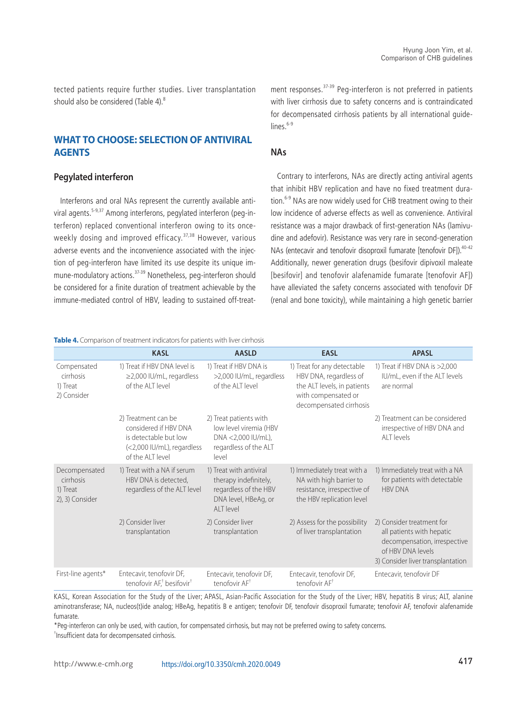tected patients require further studies. Liver transplantation should also be considered (Table 4).<sup>8</sup>

# **WHAT TO CHOOSE: SELECTION OF ANTIVIRAL AGENTS**

#### **Pegylated interferon**

Interferons and oral NAs represent the currently available antiviral agents.<sup>5-9,37</sup> Among interferons, pegylated interferon (peg-interferon) replaced conventional interferon owing to its onceweekly dosing and improved efficacy.<sup>37,38</sup> However, various adverse events and the inconvenience associated with the injection of peg-interferon have limited its use despite its unique immune-modulatory actions.37-39 Nonetheless, peg-interferon should be considered for a finite duration of treatment achievable by the immune-mediated control of HBV, leading to sustained off-treatment responses.<sup>37-39</sup> Peg-interferon is not preferred in patients with liver cirrhosis due to safety concerns and is contraindicated for decompensated cirrhosis patients by all international guide- $\text{lines}^{6-9}$ 

#### **NAs**

Contrary to interferons, NAs are directly acting antiviral agents that inhibit HBV replication and have no fixed treatment duration.<sup>6-9</sup> NAs are now widely used for CHB treatment owing to their low incidence of adverse effects as well as convenience. Antiviral resistance was a major drawback of first-generation NAs (lamivudine and adefovir). Resistance was very rare in second-generation NAs (entecavir and tenofovir disoproxil fumarate [tenofovir DF]).<sup>40-42</sup> Additionally, newer generation drugs (besifovir dipivoxil maleate [besifovir] and tenofovir alafenamide fumarate [tenofovir AF]) have alleviated the safety concerns associated with tenofovir DF (renal and bone toxicity), while maintaining a high genetic barrier

**Table 4.** Comparison of treatment indicators for patients with liver cirrhosis

|                                                           | <b>KASL</b>                                                                                                             | <b>AASLD</b>                                                                                                          | <b>EASL</b>                                                                                                                            | <b>APASL</b>                                                                                                                                     |
|-----------------------------------------------------------|-------------------------------------------------------------------------------------------------------------------------|-----------------------------------------------------------------------------------------------------------------------|----------------------------------------------------------------------------------------------------------------------------------------|--------------------------------------------------------------------------------------------------------------------------------------------------|
| Compensated<br>cirrhosis<br>1) Treat<br>2) Consider       | 1) Treat if HBV DNA level is<br>$\geq$ 2,000 IU/mL, regardless<br>of the ALT level                                      | 1) Treat if HBV DNA is<br>>2,000 IU/mL, regardless<br>of the ALT level                                                | 1) Treat for any detectable<br>HBV DNA, regardless of<br>the ALT levels, in patients<br>with compensated or<br>decompensated cirrhosis | 1) Treat if HBV DNA is >2,000<br>IU/mL, even if the ALT levels<br>are normal                                                                     |
|                                                           | 2) Treatment can be<br>considered if HBV DNA<br>is detectable but low<br>(<2,000 IU/mL), regardless<br>of the ALT level | 2) Treat patients with<br>low level viremia (HBV<br>DNA <2,000 IU/mL),<br>regardless of the ALT<br>level              |                                                                                                                                        | 2) Treatment can be considered<br>irrespective of HBV DNA and<br>AIT levels                                                                      |
| Decompensated<br>cirrhosis<br>1) Treat<br>2), 3) Consider | 1) Treat with a NA if serum<br>HBV DNA is detected,<br>regardless of the ALT level                                      | 1) Treat with antiviral<br>therapy indefinitely,<br>regardless of the HBV<br>DNA level, HBeAg, or<br><b>ALT</b> level | 1) Immediately treat with a<br>NA with high barrier to<br>resistance, irrespective of<br>the HBV replication level                     | 1) Immediately treat with a NA<br>for patients with detectable<br><b>HBV DNA</b>                                                                 |
|                                                           | 2) Consider liver<br>transplantation                                                                                    | 2) Consider liver<br>transplantation                                                                                  | 2) Assess for the possibility<br>of liver transplantation                                                                              | 2) Consider treatment for<br>all patients with hepatic<br>decompensation, irrespective<br>of HBV DNA levels<br>3) Consider liver transplantation |
| First-line agents*                                        | Entecavir, tenofovir DF,<br>tenofovir AF, <sup>†</sup> besifovir <sup>†</sup>                                           | Entecavir, tenofovir DF,<br>tenofovir AF <sup>+</sup>                                                                 | Entecavir, tenofovir DF,<br>tenofovir AF <sup>†</sup>                                                                                  | Entecavir, tenofovir DF                                                                                                                          |

KASL, Korean Association for the Study of the Liver; APASL, Asian-Pacific Association for the Study of the Liver; HBV, hepatitis B virus; ALT, alanine aminotransferase; NA, nucleos(t)ide analog; HBeAg, hepatitis B e antigen; tenofovir DF, tenofovir disoproxil fumarate; tenofovir AF, tenofovir alafenamide fumarate.

\*Peg-interferon can only be used, with caution, for compensated cirrhosis, but may not be preferred owing to safety concerns. † Insufficient data for decompensated cirrhosis.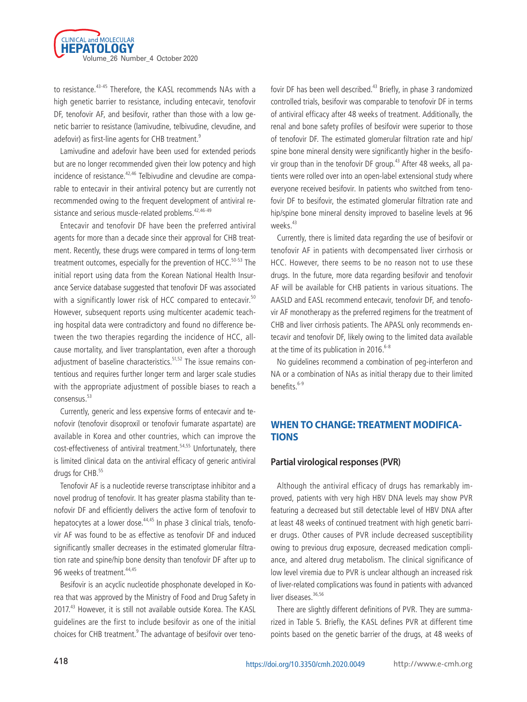

to resistance.<sup>43-45</sup> Therefore, the KASL recommends NAs with a high genetic barrier to resistance, including entecavir, tenofovir DF, tenofovir AF, and besifovir, rather than those with a low genetic barrier to resistance (lamivudine, telbivudine, clevudine, and adefovir) as first-line agents for CHB treatment.<sup>9</sup>

Lamivudine and adefovir have been used for extended periods but are no longer recommended given their low potency and high incidence of resistance.<sup>42,46</sup> Telbivudine and clevudine are comparable to entecavir in their antiviral potency but are currently not recommended owing to the frequent development of antiviral resistance and serious muscle-related problems.<sup>42,46-49</sup>

Entecavir and tenofovir DF have been the preferred antiviral agents for more than a decade since their approval for CHB treatment. Recently, these drugs were compared in terms of long-term treatment outcomes, especially for the prevention of HCC. $50-53$  The initial report using data from the Korean National Health Insurance Service database suggested that tenofovir DF was associated with a significantly lower risk of HCC compared to entecavir.<sup>50</sup> However, subsequent reports using multicenter academic teaching hospital data were contradictory and found no difference between the two therapies regarding the incidence of HCC, allcause mortality, and liver transplantation, even after a thorough adjustment of baseline characteristics.<sup>51,52</sup> The issue remains contentious and requires further longer term and larger scale studies with the appropriate adjustment of possible biases to reach a consensus.53

Currently, generic and less expensive forms of entecavir and tenofovir (tenofovir disoproxil or tenofovir fumarate aspartate) are available in Korea and other countries, which can improve the cost-effectiveness of antiviral treatment.<sup>54,55</sup> Unfortunately, there is limited clinical data on the antiviral efficacy of generic antiviral drugs for CHB.<sup>55</sup>

Tenofovir AF is a nucleotide reverse transcriptase inhibitor and a novel prodrug of tenofovir. It has greater plasma stability than tenofovir DF and efficiently delivers the active form of tenofovir to hepatocytes at a lower dose.<sup>44,45</sup> In phase 3 clinical trials, tenofovir AF was found to be as effective as tenofovir DF and induced significantly smaller decreases in the estimated glomerular filtration rate and spine/hip bone density than tenofovir DF after up to 96 weeks of treatment.<sup>44,45</sup>

Besifovir is an acyclic nucleotide phosphonate developed in Korea that was approved by the Ministry of Food and Drug Safety in 2017.<sup>43</sup> However, it is still not available outside Korea. The KASL guidelines are the first to include besifovir as one of the initial choices for CHB treatment.<sup>9</sup> The advantage of besifovir over tenofovir DF has been well described.<sup>43</sup> Briefly, in phase 3 randomized controlled trials, besifovir was comparable to tenofovir DF in terms of antiviral efficacy after 48 weeks of treatment. Additionally, the renal and bone safety profiles of besifovir were superior to those of tenofovir DF. The estimated glomerular filtration rate and hip/ spine bone mineral density were significantly higher in the besifovir group than in the tenofovir DF group.<sup>43</sup> After 48 weeks, all patients were rolled over into an open-label extensional study where everyone received besifovir. In patients who switched from tenofovir DF to besifovir, the estimated glomerular filtration rate and hip/spine bone mineral density improved to baseline levels at 96 weeks.<sup>43</sup>

Currently, there is limited data regarding the use of besifovir or tenofovir AF in patients with decompensated liver cirrhosis or HCC. However, there seems to be no reason not to use these drugs. In the future, more data regarding besifovir and tenofovir AF will be available for CHB patients in various situations. The AASLD and EASL recommend entecavir, tenofovir DF, and tenofovir AF monotherapy as the preferred regimens for the treatment of CHB and liver cirrhosis patients. The APASL only recommends entecavir and tenofovir DF, likely owing to the limited data available at the time of its publication in 2016.<sup>6-8</sup>

No guidelines recommend a combination of peg-interferon and NA or a combination of NAs as initial therapy due to their limited benefits.6-9

# **WHEN TO CHANGE: TREATMENT MODIFICA-TIONS**

#### **Partial virological responses (PVR)**

Although the antiviral efficacy of drugs has remarkably improved, patients with very high HBV DNA levels may show PVR featuring a decreased but still detectable level of HBV DNA after at least 48 weeks of continued treatment with high genetic barrier drugs. Other causes of PVR include decreased susceptibility owing to previous drug exposure, decreased medication compliance, and altered drug metabolism. The clinical significance of low level viremia due to PVR is unclear although an increased risk of liver-related complications was found in patients with advanced liver diseases.<sup>36,56</sup>

There are slightly different definitions of PVR. They are summarized in Table 5. Briefly, the KASL defines PVR at different time points based on the genetic barrier of the drugs, at 48 weeks of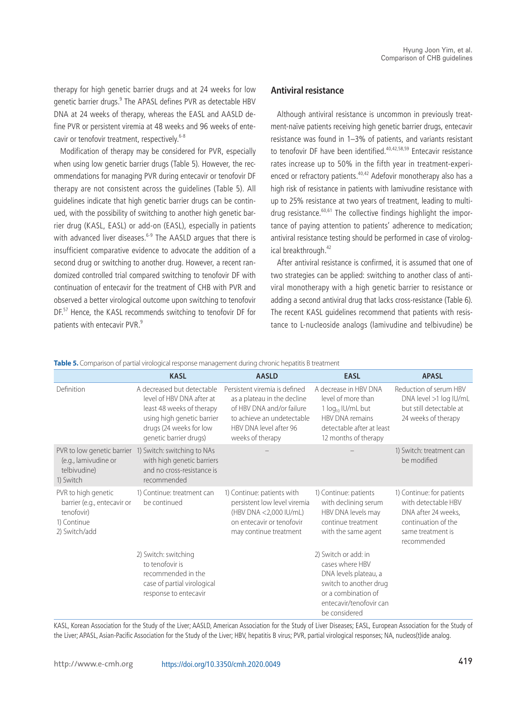therapy for high genetic barrier drugs and at 24 weeks for low genetic barrier drugs.<sup>9</sup> The APASL defines PVR as detectable HBV DNA at 24 weeks of therapy, whereas the EASL and AASLD define PVR or persistent viremia at 48 weeks and 96 weeks of entecavir or tenofovir treatment, respectively.<sup>6-8</sup>

Modification of therapy may be considered for PVR, especially when using low genetic barrier drugs (Table 5). However, the recommendations for managing PVR during entecavir or tenofovir DF therapy are not consistent across the guidelines (Table 5). All guidelines indicate that high genetic barrier drugs can be continued, with the possibility of switching to another high genetic barrier drug (KASL, EASL) or add-on (EASL), especially in patients with advanced liver diseases.<sup>6-9</sup> The AASLD argues that there is insufficient comparative evidence to advocate the addition of a second drug or switching to another drug. However, a recent randomized controlled trial compared switching to tenofovir DF with continuation of entecavir for the treatment of CHB with PVR and observed a better virological outcome upon switching to tenofovir DF.<sup>57</sup> Hence, the KASL recommends switching to tenofovir DF for patients with entecavir PVR.<sup>9</sup>

#### **Antiviral resistance**

Although antiviral resistance is uncommon in previously treatment-naïve patients receiving high genetic barrier drugs, entecavir resistance was found in 1–3% of patients, and variants resistant to tenofovir DF have been identified.<sup>40,42,58,59</sup> Entecavir resistance rates increase up to 50% in the fifth year in treatment-experienced or refractory patients.<sup>40,42</sup> Adefovir monotherapy also has a high risk of resistance in patients with lamivudine resistance with up to 25% resistance at two years of treatment, leading to multidrug resistance. $60,61$  The collective findings highlight the importance of paying attention to patients' adherence to medication; antiviral resistance testing should be performed in case of virological breakthrough.<sup>42</sup>

After antiviral resistance is confirmed, it is assumed that one of two strategies can be applied: switching to another class of antiviral monotherapy with a high genetic barrier to resistance or adding a second antiviral drug that lacks cross-resistance (Table 6). The recent KASL guidelines recommend that patients with resistance to L-nucleoside analogs (lamivudine and telbivudine) be

|                                                                                                  | <b>KASL</b>                                                                                                                                                             | <b>AASLD</b>                                                                                                                                                          | <b>EASL</b>                                                                                                                                                   | <b>APASL</b>                                                                                                                       |
|--------------------------------------------------------------------------------------------------|-------------------------------------------------------------------------------------------------------------------------------------------------------------------------|-----------------------------------------------------------------------------------------------------------------------------------------------------------------------|---------------------------------------------------------------------------------------------------------------------------------------------------------------|------------------------------------------------------------------------------------------------------------------------------------|
| Definition                                                                                       | A decreased but detectable<br>level of HBV DNA after at<br>least 48 weeks of therapy<br>using high genetic barrier<br>drugs (24 weeks for low<br>genetic barrier drugs) | Persistent viremia is defined<br>as a plateau in the decline<br>of HBV DNA and/or failure<br>to achieve an undetectable<br>HBV DNA level after 96<br>weeks of therapy | A decrease in HBV DNA<br>level of more than<br>1 log <sub>10</sub> IU/mL but<br><b>HBV DNA remains</b><br>detectable after at least<br>12 months of therapy   | Reduction of serum HBV<br>DNA level >1 log IU/mL<br>but still detectable at<br>24 weeks of therapy                                 |
| PVR to low genetic barrier<br>(e.g., lamivudine or<br>telbivudine)<br>1) Switch                  | 1) Switch: switching to NAs<br>with high genetic barriers<br>and no cross-resistance is<br>recommended                                                                  |                                                                                                                                                                       |                                                                                                                                                               | 1) Switch: treatment can<br>be modified                                                                                            |
| PVR to high genetic<br>barrier (e.g., entecavir or<br>tenofovir)<br>1) Continue<br>2) Switch/add | 1) Continue: treatment can<br>be continued                                                                                                                              | 1) Continue: patients with<br>persistent low level viremia<br>(HBV DNA <2,000 IU/mL)<br>on entecavir or tenofovir<br>may continue treatment                           | 1) Continue: patients<br>with declining serum<br>HBV DNA levels may<br>continue treatment<br>with the same agent                                              | 1) Continue: for patients<br>with detectable HBV<br>DNA after 24 weeks,<br>continuation of the<br>same treatment is<br>recommended |
|                                                                                                  | 2) Switch: switching<br>to tenofovir is<br>recommended in the<br>case of partial virological<br>response to entecavir                                                   |                                                                                                                                                                       | 2) Switch or add: in<br>cases where HBV<br>DNA levels plateau, a<br>switch to another drug<br>or a combination of<br>entecavir/tenofovir can<br>be considered |                                                                                                                                    |

**Table 5.** Comparison of partial virological response management during chronic hepatitis B treatment

KASL, Korean Association for the Study of the Liver; AASLD, American Association for the Study of Liver Diseases; EASL, European Association for the Study of the Liver; APASL, Asian-Pacific Association for the Study of the Liver; HBV, hepatitis B virus; PVR, partial virological responses; NA, nucleos(t)ide analog.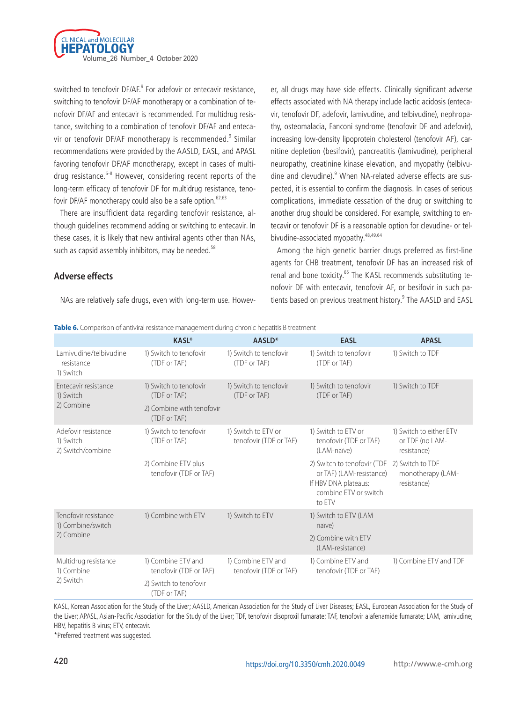

switched to tenofovir DF/AF.<sup>9</sup> For adefovir or entecavir resistance, switching to tenofovir DF/AF monotherapy or a combination of tenofovir DF/AF and entecavir is recommended. For multidrug resistance, switching to a combination of tenofovir DF/AF and entecavir or tenofovir DF/AF monotherapy is recommended.<sup>9</sup> Similar recommendations were provided by the AASLD, EASL, and APASL favoring tenofovir DF/AF monotherapy, except in cases of multidrug resistance.<sup>6-8</sup> However, considering recent reports of the long-term efficacy of tenofovir DF for multidrug resistance, tenofovir DF/AF monotherapy could also be a safe option.<sup>62,63</sup>

There are insufficient data regarding tenofovir resistance, although guidelines recommend adding or switching to entecavir. In these cases, it is likely that new antiviral agents other than NAs, such as capsid assembly inhibitors, may be needed.<sup>58</sup>

# effects associated with NA therapy include lactic acidosis (entecavir, tenofovir DF, adefovir, lamivudine, and telbivudine), nephropathy, osteomalacia, Fanconi syndrome (tenofovir DF and adefovir), increasing low-density lipoprotein cholesterol (tenofovir AF), carnitine depletion (besifovir), pancreatitis (lamivudine), peripheral neuropathy, creatinine kinase elevation, and myopathy (telbivudine and clevudine).<sup>9</sup> When NA-related adverse effects are suspected, it is essential to confirm the diagnosis. In cases of serious complications, immediate cessation of the drug or switching to another drug should be considered. For example, switching to entecavir or tenofovir DF is a reasonable option for clevudine- or telbivudine-associated myopathy.  $48,49,64$

er, all drugs may have side effects. Clinically significant adverse

Among the high genetic barrier drugs preferred as first-line agents for CHB treatment, tenofovir DF has an increased risk of renal and bone toxicity.<sup>65</sup> The KASL recommends substituting tenofovir DF with entecavir, tenofovir AF, or besifovir in such patients based on previous treatment history.<sup>9</sup> The AASLD and EASL

# **Adverse effects**

NAs are relatively safe drugs, even with long-term use. Howev-

|                                                       | <b>KASL*</b>                                  | AASLD <sup>*</sup>                            | <b>EASL</b>                                                                                                        | <b>APASL</b>                                              |
|-------------------------------------------------------|-----------------------------------------------|-----------------------------------------------|--------------------------------------------------------------------------------------------------------------------|-----------------------------------------------------------|
| Lamivudine/telbivudine<br>resistance<br>1) Switch     | 1) Switch to tenofovir<br>(TDF or TAF)        | 1) Switch to tenofovir<br>(TDF or TAF)        | 1) Switch to tenofovir<br>(TDF or TAF)                                                                             | 1) Switch to TDF                                          |
| Entecavir resistance<br>1) Switch                     | 1) Switch to tenofovir<br>(TDF or TAF)        | 1) Switch to tenofovir<br>(TDF or TAF)        | 1) Switch to tenofovir<br>(TDF or TAF)                                                                             | 1) Switch to TDF                                          |
| 2) Combine                                            | 2) Combine with tenofovir<br>(TDF or TAF)     |                                               |                                                                                                                    |                                                           |
| Adefovir resistance<br>1) Switch<br>2) Switch/combine | 1) Switch to tenofovir<br>(TDF or TAF)        | 1) Switch to ETV or<br>tenofovir (TDF or TAF) | 1) Switch to ETV or<br>tenofovir (TDF or TAF)<br>(LAM-naïve)                                                       | 1) Switch to either ETV<br>or TDF (no LAM-<br>resistance) |
|                                                       | 2) Combine ETV plus<br>tenofovir (TDF or TAF) |                                               | 2) Switch to tenofovir (TDF<br>or TAF) (LAM-resistance)<br>If HBV DNA plateaus:<br>combine FTV or switch<br>to ETV | 2) Switch to TDF<br>monotherapy (LAM-<br>resistance)      |
| Tenofovir resistance<br>1) Combine/switch             | 1) Combine with ETV                           | 1) Switch to ETV                              | 1) Switch to ETV (LAM-<br>naïve)                                                                                   |                                                           |
| 2) Combine                                            |                                               |                                               | 2) Combine with ETV<br>(LAM-resistance)                                                                            |                                                           |
| Multidrug resistance<br>1) Combine                    | 1) Combine ETV and<br>tenofovir (TDF or TAF)  | 1) Combine ETV and<br>tenofovir (TDF or TAF)  | 1) Combine ETV and<br>tenofovir (TDF or TAF)                                                                       | 1) Combine ETV and TDF                                    |
| 2) Switch                                             | 2) Switch to tenofovir<br>(TDF or TAF)        |                                               |                                                                                                                    |                                                           |

**Table 6.** Comparison of antiviral resistance management during chronic hepatitis B treatment

KASL, Korean Association for the Study of the Liver; AASLD, American Association for the Study of Liver Diseases; EASL, European Association for the Study of the Liver; APASL, Asian-Pacific Association for the Study of the Liver; TDF, tenofovir disoproxil fumarate; TAF, tenofovir alafenamide fumarate; LAM, lamivudine; HBV, hepatitis B virus; ETV, entecavir.

\*Preferred treatment was suggested.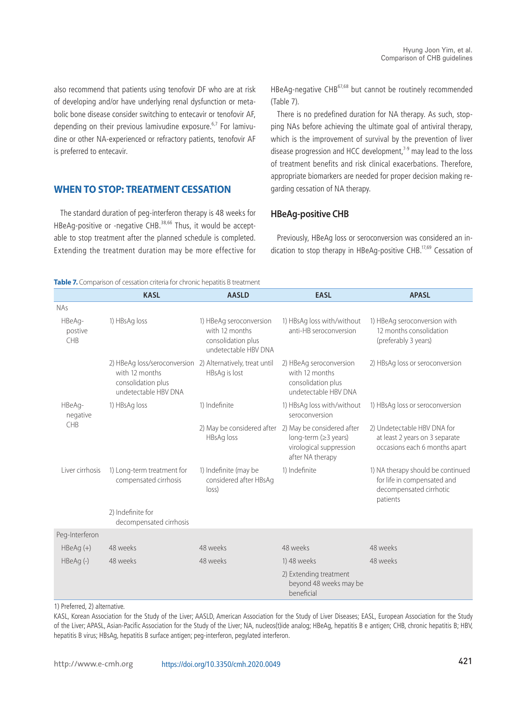also recommend that patients using tenofovir DF who are at risk of developing and/or have underlying renal dysfunction or metabolic bone disease consider switching to entecavir or tenofovir AF, depending on their previous lamivudine exposure. $6,7$  For lamivudine or other NA-experienced or refractory patients, tenofovir AF is preferred to entecavir.

# **WHEN TO STOP: TREATMENT CESSATION**

The standard duration of peg-interferon therapy is 48 weeks for HBeAg-positive or -negative CHB.<sup>38,66</sup> Thus, it would be acceptable to stop treatment after the planned schedule is completed. Extending the treatment duration may be more effective for HBeAg-negative CHB<sup>67,68</sup> but cannot be routinely recommended (Table 7).

There is no predefined duration for NA therapy. As such, stopping NAs before achieving the ultimate goal of antiviral therapy, which is the improvement of survival by the prevention of liver disease progression and HCC development, $7-9$  may lead to the loss of treatment benefits and risk clinical exacerbations. Therefore, appropriate biomarkers are needed for proper decision making regarding cessation of NA therapy.

#### **HBeAg-positive CHB**

Previously, HBeAg loss or seroconversion was considered an indication to stop therapy in HBeAg-positive CHB.<sup>17,69</sup> Cessation of

#### **Table 7.** Comparison of cessation criteria for chronic hepatitis B treatment

|                          | <b>KASL</b>                                                                                                                | <b>AASLD</b>                                                                            | <b>EASL</b>                                                                                                                  | <b>APASL</b>                                                                                            |
|--------------------------|----------------------------------------------------------------------------------------------------------------------------|-----------------------------------------------------------------------------------------|------------------------------------------------------------------------------------------------------------------------------|---------------------------------------------------------------------------------------------------------|
| <b>NAs</b>               |                                                                                                                            |                                                                                         |                                                                                                                              |                                                                                                         |
| HBeAg-<br>postive<br>CHB | 1) HBsAg loss                                                                                                              | 1) HBeAg seroconversion<br>with 12 months<br>consolidation plus<br>undetectable HBV DNA | 1) HBsAg loss with/without<br>anti-HB seroconversion                                                                         | 1) HBeAg seroconversion with<br>12 months consolidation<br>(preferably 3 years)                         |
|                          | 2) HBeAq loss/seroconversion 2) Alternatively, treat until<br>with 12 months<br>consolidation plus<br>undetectable HBV DNA | HBsAg is lost                                                                           | 2) HBeAg seroconversion<br>with 12 months<br>consolidation plus<br>undetectable HBV DNA                                      | 2) HBsAg loss or seroconversion                                                                         |
| HBeAg-<br>negative       | 1) HBsAg loss                                                                                                              | 1) Indefinite                                                                           | 1) HBsAg loss with/without<br>seroconversion                                                                                 | 1) HBsAg loss or seroconversion                                                                         |
| <b>CHB</b>               |                                                                                                                            | HBsAg loss                                                                              | 2) May be considered after 2) May be considered after<br>long-term (≥3 years)<br>virological suppression<br>after NA therapy | 2) Undetectable HBV DNA for<br>at least 2 years on 3 separate<br>occasions each 6 months apart          |
| Liver cirrhosis          | 1) Long-term treatment for<br>compensated cirrhosis                                                                        | 1) Indefinite (may be<br>considered after HBsAg<br>$ OSS\rangle$                        | 1) Indefinite                                                                                                                | 1) NA therapy should be continued<br>for life in compensated and<br>decompensated cirrhotic<br>patients |
|                          | 2) Indefinite for<br>decompensated cirrhosis                                                                               |                                                                                         |                                                                                                                              |                                                                                                         |
| Peg-Interferon           |                                                                                                                            |                                                                                         |                                                                                                                              |                                                                                                         |
| $HBeAg (+)$              | 48 weeks                                                                                                                   | 48 weeks                                                                                | 48 weeks                                                                                                                     | 48 weeks                                                                                                |
| HBeAg(-)                 | 48 weeks                                                                                                                   | 48 weeks                                                                                | 1) 48 weeks                                                                                                                  | 48 weeks                                                                                                |
|                          |                                                                                                                            |                                                                                         | 2) Extending treatment<br>beyond 48 weeks may be<br>beneficial                                                               |                                                                                                         |

1) Preferred, 2) alternative.

KASL, Korean Association for the Study of the Liver; AASLD, American Association for the Study of Liver Diseases; EASL, European Association for the Study of the Liver; APASL, Asian-Pacific Association for the Study of the Liver; NA, nucleos(t)ide analog; HBeAg, hepatitis B e antigen; CHB, chronic hepatitis B; HBV, hepatitis B virus; HBsAg, hepatitis B surface antigen; peg-interferon, pegylated interferon.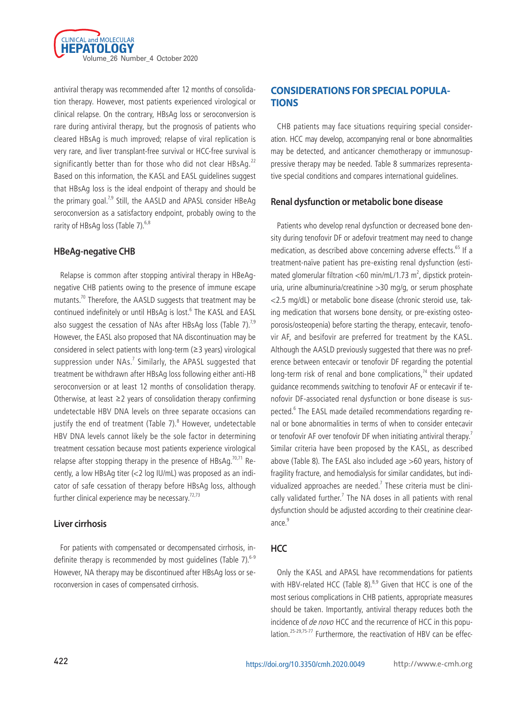

antiviral therapy was recommended after 12 months of consolidation therapy. However, most patients experienced virological or clinical relapse. On the contrary, HBsAg loss or seroconversion is rare during antiviral therapy, but the prognosis of patients who cleared HBsAg is much improved; relapse of viral replication is very rare, and liver transplant-free survival or HCC-free survival is significantly better than for those who did not clear HBsAg.<sup>22</sup> Based on this information, the KASL and EASL guidelines suggest that HBsAg loss is the ideal endpoint of therapy and should be the primary goal.<sup>7,9</sup> Still, the AASLD and APASL consider HBeAg seroconversion as a satisfactory endpoint, probably owing to the rarity of HBsAg loss (Table 7).<sup>6,8</sup>

# **HBeAg-negative CHB**

Relapse is common after stopping antiviral therapy in HBeAgnegative CHB patients owing to the presence of immune escape mutants.<sup>70</sup> Therefore, the AASLD suggests that treatment may be continued indefinitely or until HBsAg is lost.<sup>6</sup> The KASL and EASL also suggest the cessation of NAs after HBsAg loss (Table 7).<sup>7,9</sup> However, the EASL also proposed that NA discontinuation may be considered in select patients with long-term (≥3 years) virological suppression under  $NAs.^{7}$  Similarly, the APASL suggested that treatment be withdrawn after HBsAg loss following either anti-HB seroconversion or at least 12 months of consolidation therapy. Otherwise, at least ≥2 years of consolidation therapy confirming undetectable HBV DNA levels on three separate occasions can justify the end of treatment (Table 7).<sup>8</sup> However, undetectable HBV DNA levels cannot likely be the sole factor in determining treatment cessation because most patients experience virological relapse after stopping therapy in the presence of  $HBSAq$ <sup>70,71</sup> Recently, a low HBsAg titer (<2 log IU/mL) was proposed as an indicator of safe cessation of therapy before HBsAg loss, although further clinical experience may be necessary.<sup>72,73</sup>

# **Liver cirrhosis**

For patients with compensated or decompensated cirrhosis, indefinite therapy is recommended by most quidelines (Table 7). $6-9$ However, NA therapy may be discontinued after HBsAg loss or seroconversion in cases of compensated cirrhosis.

# **CONSIDERATIONS FOR SPECIAL POPULA-TIONS**

CHB patients may face situations requiring special consideration. HCC may develop, accompanying renal or bone abnormalities may be detected, and anticancer chemotherapy or immunosuppressive therapy may be needed. Table 8 summarizes representative special conditions and compares international guidelines.

# **Renal dysfunction or metabolic bone disease**

Patients who develop renal dysfunction or decreased bone density during tenofovir DF or adefovir treatment may need to change medication, as described above concerning adverse effects.<sup>65</sup> If a treatment-naïve patient has pre-existing renal dysfunction (estimated glomerular filtration <60 min/mL/1.73 m<sup>2</sup>, dipstick proteinuria, urine albuminuria/creatinine >30 mg/g, or serum phosphate <2.5 mg/dL) or metabolic bone disease (chronic steroid use, taking medication that worsens bone density, or pre-existing osteoporosis/osteopenia) before starting the therapy, entecavir, tenofovir AF, and besifovir are preferred for treatment by the KASL. Although the AASLD previously suggested that there was no preference between entecavir or tenofovir DF regarding the potential long-term risk of renal and bone complications, $74$  their updated guidance recommends switching to tenofovir AF or entecavir if tenofovir DF-associated renal dysfunction or bone disease is suspected.<sup>6</sup> The EASL made detailed recommendations regarding renal or bone abnormalities in terms of when to consider entecavir or tenofovir AF over tenofovir DF when initiating antiviral therapy.<sup>7</sup> Similar criteria have been proposed by the KASL, as described above (Table 8). The EASL also included age >60 years, history of fragility fracture, and hemodialysis for similar candidates, but individualized approaches are needed.<sup>7</sup> These criteria must be clinically validated further.<sup>7</sup> The NA doses in all patients with renal dysfunction should be adjusted according to their creatinine clearance. $9$ 

# **HCC**

Only the KASL and APASL have recommendations for patients with HBV-related HCC (Table 8).<sup>8,9</sup> Given that HCC is one of the most serious complications in CHB patients, appropriate measures should be taken. Importantly, antiviral therapy reduces both the incidence of de novo HCC and the recurrence of HCC in this population.<sup>25-29,75-77</sup> Furthermore, the reactivation of HBV can be effec-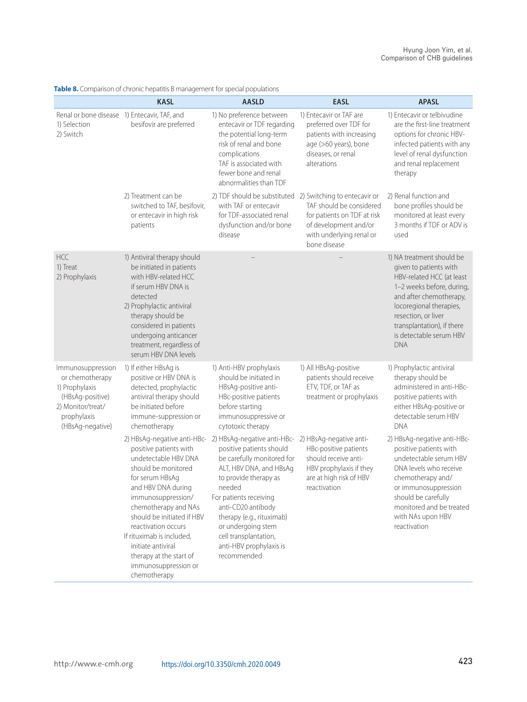|                                                                                                                                    | <b>KASL</b>                                                                                                                                                                                                                                                                                                                                            | <b>AASLD</b>                                                                                                                                                                                                                                                                                                              | <b>EASL</b>                                                                                                                                    | <b>APASL</b>                                                                                                                                                                                                                                                      |
|------------------------------------------------------------------------------------------------------------------------------------|--------------------------------------------------------------------------------------------------------------------------------------------------------------------------------------------------------------------------------------------------------------------------------------------------------------------------------------------------------|---------------------------------------------------------------------------------------------------------------------------------------------------------------------------------------------------------------------------------------------------------------------------------------------------------------------------|------------------------------------------------------------------------------------------------------------------------------------------------|-------------------------------------------------------------------------------------------------------------------------------------------------------------------------------------------------------------------------------------------------------------------|
| Renal or bone disease 1) Entecavir, TAF, and<br>1) Selection<br>2) Switch                                                          | besifovir are preferred                                                                                                                                                                                                                                                                                                                                | 1) No preference between<br>entecavir or TDF regarding<br>the potential long-term<br>risk of renal and bone<br>complications<br>TAF is associated with<br>fewer bone and renal<br>abnormalities than TDF                                                                                                                  | 1) Entecavir or TAF are<br>preferred over TDF for<br>patients with increasing<br>age (>60 years), bone<br>diseases, or renal<br>alterations    | 1) Entecavir or telbivudine<br>are the first-line treatment<br>options for chronic HBV-<br>infected patients with any<br>level of renal dysfunction<br>and renal replacement<br>therapy                                                                           |
|                                                                                                                                    | 2) Treatment can be<br>switched to TAF, besifovir,<br>or entecavir in high risk<br>patients                                                                                                                                                                                                                                                            | 2) TDF should be substituted 2) Switching to entecavir or<br>with TAF or entecavir<br>for TDF-associated renal<br>dysfunction and/or bone<br>disease                                                                                                                                                                      | TAF should be considered<br>for patients on TDF at risk<br>of development and/or<br>with underlying renal or<br>bone disease                   | 2) Renal function and<br>bone profiles should be<br>monitored at least every<br>3 months if TDF or ADV is<br>used                                                                                                                                                 |
| <b>HCC</b><br>1) Treat<br>2) Prophylaxis                                                                                           | 1) Antiviral therapy should<br>be initiated in patients<br>with HBV-related HCC<br>if serum HBV DNA is<br>detected<br>2) Prophylactic antiviral<br>therapy should be<br>considered in patients<br>undergoing anticancer<br>treatment, regardless of<br>serum HBV DNA levels                                                                            |                                                                                                                                                                                                                                                                                                                           |                                                                                                                                                | 1) NA treatment should be<br>given to patients with<br>HBV-related HCC (at least<br>1-2 weeks before, during,<br>and after chemotherapy,<br>locoregional therapies,<br>resection, or liver<br>transplantation), if there<br>is detectable serum HBV<br><b>DNA</b> |
| Immunosuppression<br>or chemotherapy<br>1) Prophylaxis<br>(HBsAg-positive)<br>2) Monitor/treat/<br>prophylaxis<br>(HBsAg-negative) | 1) If either HBsAg is<br>positive or HBV DNA is<br>detected, prophylactic<br>antiviral therapy should<br>be initiated before<br>immune-suppression or<br>chemotherapy                                                                                                                                                                                  | 1) Anti-HBV prophylaxis<br>should be initiated in<br>HBsAq-positive anti-<br>HBc-positive patients<br>before starting<br>immunosuppressive or<br>cytotoxic therapy                                                                                                                                                        | 1) All HBsAg-positive<br>patients should receive<br>ETV, TDF, or TAF as<br>treatment or prophylaxis                                            | 1) Prophylactic antiviral<br>therapy should be<br>administered in anti-HBc-<br>positive patients with<br>either HBsAg-positive or<br>detectable serum HBV<br><b>DNA</b>                                                                                           |
|                                                                                                                                    | 2) HBsAg-negative anti-HBc-<br>positive patients with<br>undetectable HBV DNA<br>should be monitored<br>for serum HBsAg<br>and HBV DNA during<br>immunosuppression/<br>chemotherapy and NAs<br>should be initiated if HBV<br>reactivation occurs<br>If rituximab is included,<br>initiate antiviral<br>therapy at the start of<br>immunosuppression or | 2) HBsAg-negative anti-HBc-<br>positive patients should<br>be carefully monitored for<br>ALT, HBV DNA, and HBsAg<br>to provide therapy as<br>needed<br>For patients receiving<br>anti-CD20 antibody<br>therapy (e.g., rituximab)<br>or undergoing stem<br>cell transplantation,<br>anti-HBV prophylaxis is<br>recommended | 2) HBsAg-negative anti-<br>HBc-positive patients<br>should receive anti-<br>HBV prophylaxis if they<br>are at high risk of HBV<br>reactivation | 2) HBsAg-negative anti-HBc-<br>positive patients with<br>undetectable serum HBV<br>DNA levels who receive<br>chemotherapy and/<br>or immunosuppression<br>should be carefully<br>monitored and be treated<br>with NAs upon HBV<br>reactivation                    |

**Table 8.** Comparison of chronic hepatitis B management for special populations

chemotherapy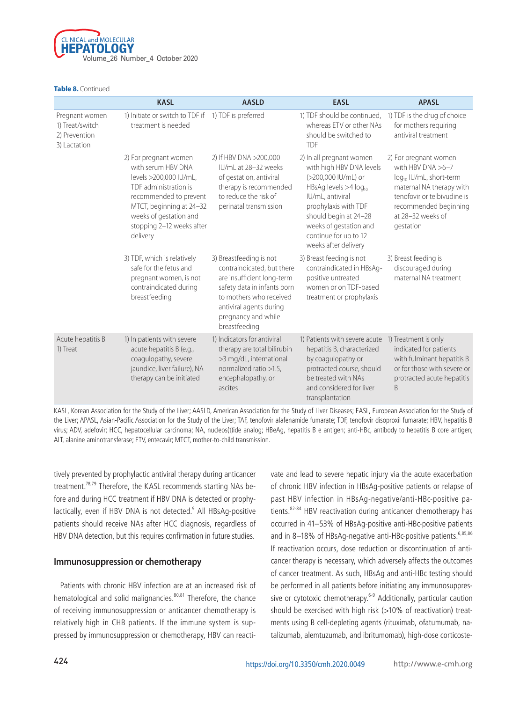

**Table 8.** Continued

|                                                                    | <b>KASL</b>                                                                                                                                                                                                             | <b>AASLD</b>                                                                                                                                                                                                     | <b>EASL</b>                                                                                                                                                                                                                                                      | <b>APASL</b>                                                                                                                                                                                              |
|--------------------------------------------------------------------|-------------------------------------------------------------------------------------------------------------------------------------------------------------------------------------------------------------------------|------------------------------------------------------------------------------------------------------------------------------------------------------------------------------------------------------------------|------------------------------------------------------------------------------------------------------------------------------------------------------------------------------------------------------------------------------------------------------------------|-----------------------------------------------------------------------------------------------------------------------------------------------------------------------------------------------------------|
| Pregnant women<br>1) Treat/switch<br>2) Prevention<br>3) Lactation | 1) Initiate or switch to TDF if<br>treatment is needed                                                                                                                                                                  | 1) TDF is preferred                                                                                                                                                                                              | 1) TDF should be continued,<br>whereas ETV or other NAs<br>should be switched to<br><b>TDF</b>                                                                                                                                                                   | 1) TDF is the drug of choice<br>for mothers requiring<br>antiviral treatment                                                                                                                              |
|                                                                    | 2) For pregnant women<br>with serum HBV DNA<br>levels >200,000 IU/mL,<br>TDF administration is<br>recommended to prevent<br>MTCT, beginning at 24-32<br>weeks of gestation and<br>stopping 2-12 weeks after<br>delivery | 2) If HBV DNA >200,000<br>IU/mL at 28-32 weeks<br>of gestation, antiviral<br>therapy is recommended<br>to reduce the risk of<br>perinatal transmission                                                           | 2) In all pregnant women<br>with high HBV DNA levels<br>(>200,000 IU/mL) or<br>HBsAg levels >4 log <sub>10</sub><br>IU/mL, antiviral<br>prophylaxis with TDF<br>should begin at 24-28<br>weeks of gestation and<br>continue for up to 12<br>weeks after delivery | 2) For pregnant women<br>with HBV DNA $>6-7$<br>log <sub>10</sub> IU/mL, short-term<br>maternal NA therapy with<br>tenofovir or telbivudine is<br>recommended beginning<br>at 28-32 weeks of<br>gestation |
|                                                                    | 3) TDF, which is relatively<br>safe for the fetus and<br>pregnant women, is not<br>contraindicated during<br>breastfeeding                                                                                              | 3) Breastfeeding is not<br>contraindicated, but there<br>are insufficient long-term<br>safety data in infants born<br>to mothers who received<br>antiviral agents during<br>pregnancy and while<br>breastfeeding | 3) Breast feeding is not<br>contraindicated in HBsAg-<br>positive untreated<br>women or on TDF-based<br>treatment or prophylaxis                                                                                                                                 | 3) Breast feeding is<br>discouraged during<br>maternal NA treatment                                                                                                                                       |
| Acute hepatitis B<br>1) Treat                                      | 1) In patients with severe<br>acute hepatitis B (e.g.,<br>coagulopathy, severe<br>jaundice, liver failure), NA<br>therapy can be initiated                                                                              | 1) Indicators for antiviral<br>therapy are total bilirubin<br>>3 mg/dL, international<br>normalized ratio >1.5,<br>encephalopathy, or<br>ascites                                                                 | 1) Patients with severe acute<br>hepatitis B, characterized<br>by coagulopathy or<br>protracted course, should<br>be treated with NAs<br>and considered for liver<br>transplantation                                                                             | 1) Treatment is only<br>indicated for patients<br>with fulminant hepatitis B<br>or for those with severe or<br>protracted acute hepatitis<br>B                                                            |

KASL, Korean Association for the Study of the Liver; AASLD, American Association for the Study of Liver Diseases; EASL, European Association for the Study of the Liver; APASL, Asian-Pacific Association for the Study of the Liver; TAF, tenofovir alafenamide fumarate; TDF, tenofovir disoproxil fumarate; HBV, hepatitis B virus; ADV, adefovir; HCC, hepatocellular carcinoma; NA, nucleos(t)ide analog; HBeAg, hepatitis B e antigen; anti-HBc, antibody to hepatitis B core antigen; ALT, alanine aminotransferase; ETV, entecavir; MTCT, mother-to-child transmission.

tively prevented by prophylactic antiviral therapy during anticancer treatment.<sup>78,79</sup> Therefore, the KASL recommends starting NAs before and during HCC treatment if HBV DNA is detected or prophylactically, even if HBV DNA is not detected.<sup>9</sup> All HBsAg-positive patients should receive NAs after HCC diagnosis, regardless of HBV DNA detection, but this requires confirmation in future studies.

#### **Immunosuppression or chemotherapy**

Patients with chronic HBV infection are at an increased risk of hematological and solid malignancies.<sup>80,81</sup> Therefore, the chance of receiving immunosuppression or anticancer chemotherapy is relatively high in CHB patients. If the immune system is suppressed by immunosuppression or chemotherapy, HBV can reactivate and lead to severe hepatic injury via the acute exacerbation of chronic HBV infection in HBsAg-positive patients or relapse of past HBV infection in HBsAg-negative/anti-HBc-positive patients.<sup>82-84</sup> HBV reactivation during anticancer chemotherapy has occurred in 41–53% of HBsAg-positive anti-HBc-positive patients and in 8-18% of HBsAg-negative anti-HBc-positive patients.<sup>6,85,86</sup> If reactivation occurs, dose reduction or discontinuation of anticancer therapy is necessary, which adversely affects the outcomes of cancer treatment. As such, HBsAg and anti-HBc testing should be performed in all patients before initiating any immunosuppressive or cytotoxic chemotherapy.<sup>6-9</sup> Additionally, particular caution should be exercised with high risk (>10% of reactivation) treatments using B cell-depleting agents (rituximab, ofatumumab, natalizumab, alemtuzumab, and ibritumomab), high-dose corticoste-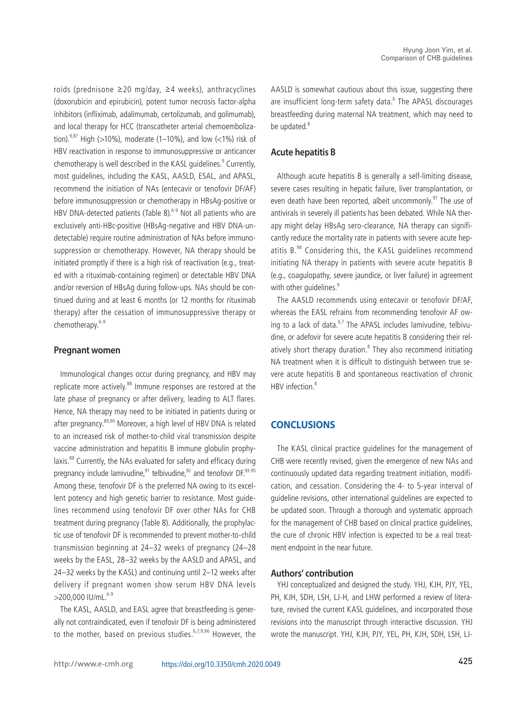roids (prednisone ≥20 mg/day, ≥4 weeks), anthracyclines (doxorubicin and epirubicin), potent tumor necrosis factor-alpha inhibitors (infliximab, adalimumab, certolizumab, and golimumab), and local therapy for HCC (transcatheter arterial chemoembolization).<sup>9,87</sup> High (>10%), moderate (1–10%), and low (<1%) risk of HBV reactivation in response to immunosuppressive or anticancer chemotherapy is well described in the KASL guidelines.<sup>9</sup> Currently, most guidelines, including the KASL, AASLD, ESAL, and APASL, recommend the initiation of NAs (entecavir or tenofovir DF/AF) before immunosuppression or chemotherapy in HBsAg-positive or HBV DNA-detected patients (Table 8).<sup>6-9</sup> Not all patients who are exclusively anti-HBc-positive (HBsAg-negative and HBV DNA-undetectable) require routine administration of NAs before immunosuppression or chemotherapy. However, NA therapy should be initiated promptly if there is a high risk of reactivation (e.g., treated with a rituximab-containing regimen) or detectable HBV DNA and/or reversion of HBsAg during follow-ups. NAs should be continued during and at least 6 months (or 12 months for rituximab therapy) after the cessation of immunosuppressive therapy or chemotherapy.<sup>6-9</sup>

#### **Pregnant women**

Immunological changes occur during pregnancy, and HBV may replicate more actively.<sup>88</sup> Immune responses are restored at the late phase of pregnancy or after delivery, leading to ALT flares. Hence, NA therapy may need to be initiated in patients during or after pregnancy.<sup>89,90</sup> Moreover, a high level of HBV DNA is related to an increased risk of mother-to-child viral transmission despite vaccine administration and hepatitis B immune globulin prophylaxis.<sup>88</sup> Currently, the NAs evaluated for safety and efficacy during pregnancy include lamivudine, $91$  telbivudine, $92$  and tenofovir DF. $93-95$ Among these, tenofovir DF is the preferred NA owing to its excellent potency and high genetic barrier to resistance. Most guidelines recommend using tenofovir DF over other NAs for CHB treatment during pregnancy (Table 8). Additionally, the prophylactic use of tenofovir DF is recommended to prevent mother-to-child transmission beginning at 24–32 weeks of pregnancy (24–28 weeks by the EASL, 28–32 weeks by the AASLD and APASL, and 24–32 weeks by the KASL) and continuing until 2–12 weeks after delivery if pregnant women show serum HBV DNA levels  $>$ 200,000 IU/mL. $6-9$ 

The KASL, AASLD, and EASL agree that breastfeeding is generally not contraindicated, even if tenofovir DF is being administered to the mother, based on previous studies.<sup>6,7,9,96</sup> However, the AASLD is somewhat cautious about this issue, suggesting there are insufficient long-term safety data.<sup>6</sup> The APASL discourages breastfeeding during maternal NA treatment, which may need to be updated.<sup>8</sup>

# **Acute hepatitis B**

Although acute hepatitis B is generally a self-limiting disease, severe cases resulting in hepatic failure, liver transplantation, or even death have been reported, albeit uncommonly.<sup>97</sup> The use of antivirals in severely ill patients has been debated. While NA therapy might delay HBsAg sero-clearance, NA therapy can significantly reduce the mortality rate in patients with severe acute hepatitis B.<sup>98</sup> Considering this, the KASL guidelines recommend initiating NA therapy in patients with severe acute hepatitis B (e.g., coagulopathy, severe jaundice, or liver failure) in agreement with other quidelines.<sup>9</sup>

The AASLD recommends using entecavir or tenofovir DF/AF, whereas the EASL refrains from recommending tenofovir AF owing to a lack of data. $6.7$  The APASL includes lamivudine, telbivudine, or adefovir for severe acute hepatitis B considering their relatively short therapy duration.<sup>8</sup> They also recommend initiating NA treatment when it is difficult to distinguish between true severe acute hepatitis B and spontaneous reactivation of chronic HBV infection.<sup>8</sup>

# **CONCLUSIONS**

The KASL clinical practice guidelines for the management of CHB were recently revised, given the emergence of new NAs and continuously updated data regarding treatment initiation, modification, and cessation. Considering the 4- to 5-year interval of guideline revisions, other international guidelines are expected to be updated soon. Through a thorough and systematic approach for the management of CHB based on clinical practice guidelines, the cure of chronic HBV infection is expected to be a real treatment endpoint in the near future.

#### **Authors' contribution**

YHJ conceptualized and designed the study. YHJ, KJH, PJY, YEL, PH, KJH, SDH, LSH, LJ-H, and LHW performed a review of literature, revised the current KASL guidelines, and incorporated those revisions into the manuscript through interactive discussion. YHJ wrote the manuscript. YHJ, KJH, PJY, YEL, PH, KJH, SDH, LSH, LJ-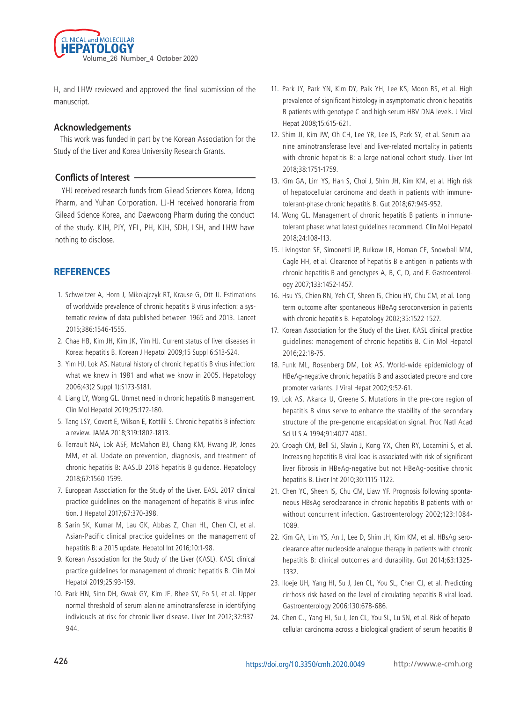

H, and LHW reviewed and approved the final submission of the manuscript.

#### **Acknowledgements**

This work was funded in part by the Korean Association for the Study of the Liver and Korea University Research Grants.

#### **Conflicts of Interest**

YHJ received research funds from Gilead Sciences Korea, Ildong Pharm, and Yuhan Corporation. LJ-H received honoraria from Gilead Science Korea, and Daewoong Pharm during the conduct of the study. KJH, PJY, YEL, PH, KJH, SDH, LSH, and LHW have nothing to disclose.

# **REFERENCES**

- 1. Schweitzer A, Horn J, Mikolajczyk RT, Krause G, Ott JJ. Estimations of worldwide prevalence of chronic hepatitis B virus infection: a systematic review of data published between 1965 and 2013. Lancet 2015;386:1546-1555.
- 2. Chae HB, Kim JH, Kim JK, Yim HJ. Current status of liver diseases in Korea: hepatitis B. Korean J Hepatol 2009;15 Suppl 6:S13-S24.
- 3. Yim HJ, Lok AS. Natural history of chronic hepatitis B virus infection: what we knew in 1981 and what we know in 2005. Hepatology 2006;43(2 Suppl 1):S173-S181.
- 4. Liang LY, Wong GL. Unmet need in chronic hepatitis B management. Clin Mol Hepatol 2019;25:172-180.
- 5. Tang LSY, Covert E, Wilson E, Kottilil S. Chronic hepatitis B infection: a review. JAMA 2018;319:1802-1813.
- 6. Terrault NA, Lok ASF, McMahon BJ, Chang KM, Hwang JP, Jonas MM, et al. Update on prevention, diagnosis, and treatment of chronic hepatitis B: AASLD 2018 hepatitis B guidance. Hepatology 2018;67:1560-1599.
- 7. European Association for the Study of the Liver. EASL 2017 clinical practice guidelines on the management of hepatitis B virus infection. J Hepatol 2017;67:370-398.
- 8. Sarin SK, Kumar M, Lau GK, Abbas Z, Chan HL, Chen CJ, et al. Asian-Pacific clinical practice guidelines on the management of hepatitis B: a 2015 update. Hepatol Int 2016;10:1-98.
- 9. Korean Association for the Study of the Liver (KASL). KASL clinical practice guidelines for management of chronic hepatitis B. Clin Mol Hepatol 2019;25:93-159.
- 10. Park HN, Sinn DH, Gwak GY, Kim JE, Rhee SY, Eo SJ, et al. Upper normal threshold of serum alanine aminotransferase in identifying individuals at risk for chronic liver disease. Liver Int 2012;32:937- 944.
- 11. Park JY, Park YN, Kim DY, Paik YH, Lee KS, Moon BS, et al. High prevalence of significant histology in asymptomatic chronic hepatitis B patients with genotype C and high serum HBV DNA levels. J Viral Hepat 2008;15:615-621.
- 12. Shim JJ, Kim JW, Oh CH, Lee YR, Lee JS, Park SY, et al. Serum alanine aminotransferase level and liver-related mortality in patients with chronic hepatitis B: a large national cohort study. Liver Int 2018;38:1751-1759.
- 13. Kim GA, Lim YS, Han S, Choi J, Shim JH, Kim KM, et al. High risk of hepatocellular carcinoma and death in patients with immunetolerant-phase chronic hepatitis B. Gut 2018;67:945-952.
- 14. Wong GL. Management of chronic hepatitis B patients in immunetolerant phase: what latest guidelines recommend. Clin Mol Hepatol 2018;24:108-113.
- 15. Livingston SE, Simonetti JP, Bulkow LR, Homan CE, Snowball MM, Cagle HH, et al. Clearance of hepatitis B e antigen in patients with chronic hepatitis B and genotypes A, B, C, D, and F. Gastroenterology 2007;133:1452-1457.
- 16. Hsu YS, Chien RN, Yeh CT, Sheen IS, Chiou HY, Chu CM, et al. Longterm outcome after spontaneous HBeAg seroconversion in patients with chronic hepatitis B. Hepatology 2002;35:1522-1527.
- 17. Korean Association for the Study of the Liver. KASL clinical practice guidelines: management of chronic hepatitis B. Clin Mol Hepatol 2016;22:18-75.
- 18. Funk ML, Rosenberg DM, Lok AS. World-wide epidemiology of HBeAg-negative chronic hepatitis B and associated precore and core promoter variants. J Viral Hepat 2002;9:52-61.
- 19. Lok AS, Akarca U, Greene S. Mutations in the pre-core region of hepatitis B virus serve to enhance the stability of the secondary structure of the pre-genome encapsidation signal. Proc Natl Acad Sci U S A 1994;91:4077-4081.
- 20. Croagh CM, Bell SJ, Slavin J, Kong YX, Chen RY, Locarnini S, et al. Increasing hepatitis B viral load is associated with risk of significant liver fibrosis in HBeAg-negative but not HBeAg-positive chronic hepatitis B. Liver Int 2010;30:1115-1122.
- 21. Chen YC, Sheen IS, Chu CM, Liaw YF. Prognosis following spontaneous HBsAg seroclearance in chronic hepatitis B patients with or without concurrent infection. Gastroenterology 2002;123:1084- 1089.
- 22. Kim GA, Lim YS, An J, Lee D, Shim JH, Kim KM, et al. HBsAg seroclearance after nucleoside analogue therapy in patients with chronic hepatitis B: clinical outcomes and durability. Gut 2014;63:1325- 1332.
- 23. Iloeje UH, Yang HI, Su J, Jen CL, You SL, Chen CJ, et al. Predicting cirrhosis risk based on the level of circulating hepatitis B viral load. Gastroenterology 2006;130:678-686.
- 24. Chen CJ, Yang HI, Su J, Jen CL, You SL, Lu SN, et al. Risk of hepatocellular carcinoma across a biological gradient of serum hepatitis B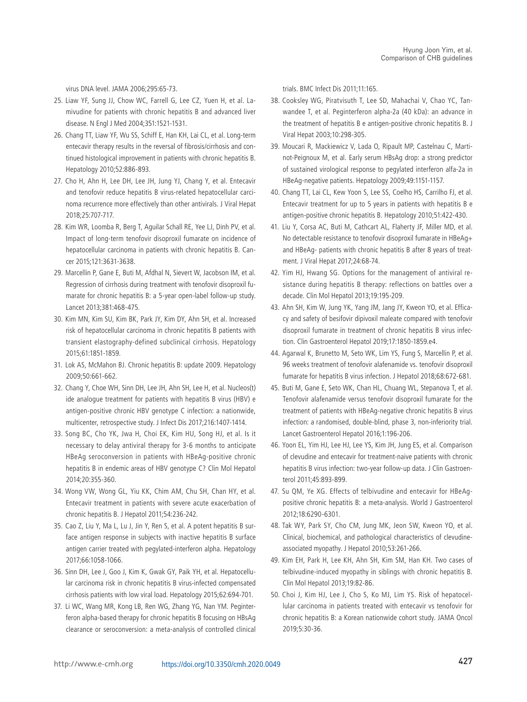virus DNA level. JAMA 2006;295:65-73.

- 25. Liaw YF, Sung JJ, Chow WC, Farrell G, Lee CZ, Yuen H, et al. Lamivudine for patients with chronic hepatitis B and advanced liver disease. N Engl J Med 2004;351:1521-1531.
- 26. Chang TT, Liaw YF, Wu SS, Schiff E, Han KH, Lai CL, et al. Long-term entecavir therapy results in the reversal of fibrosis/cirrhosis and continued histological improvement in patients with chronic hepatitis B. Hepatology 2010;52:886-893.
- 27. Cho H, Ahn H, Lee DH, Lee JH, Jung YJ, Chang Y, et al. Entecavir and tenofovir reduce hepatitis B virus-related hepatocellular carcinoma recurrence more effectively than other antivirals. J Viral Hepat 2018;25:707-717.
- 28. Kim WR, Loomba R, Berg T, Aguilar Schall RE, Yee LJ, Dinh PV, et al. Impact of long-term tenofovir disoproxil fumarate on incidence of hepatocellular carcinoma in patients with chronic hepatitis B. Cancer 2015;121:3631-3638.
- 29. Marcellin P, Gane E, Buti M, Afdhal N, Sievert W, Jacobson IM, et al. Regression of cirrhosis during treatment with tenofovir disoproxil fumarate for chronic hepatitis B: a 5-year open-label follow-up study. Lancet 2013;381:468-475.
- 30. Kim MN, Kim SU, Kim BK, Park JY, Kim DY, Ahn SH, et al. Increased risk of hepatocellular carcinoma in chronic hepatitis B patients with transient elastography-defined subclinical cirrhosis. Hepatology 2015;61:1851-1859.
- 31. Lok AS, McMahon BJ. Chronic hepatitis B: update 2009. Hepatology 2009;50:661-662.
- 32. Chang Y, Choe WH, Sinn DH, Lee JH, Ahn SH, Lee H, et al. Nucleos(t) ide analogue treatment for patients with hepatitis B virus (HBV) e antigen-positive chronic HBV genotype C infection: a nationwide, multicenter, retrospective study. J Infect Dis 2017;216:1407-1414.
- 33. Song BC, Cho YK, Jwa H, Choi EK, Kim HU, Song HJ, et al. Is it necessary to delay antiviral therapy for 3-6 months to anticipate HBeAg seroconversion in patients with HBeAg-positive chronic hepatitis B in endemic areas of HBV genotype C? Clin Mol Hepatol 2014;20:355-360.
- 34. Wong VW, Wong GL, Yiu KK, Chim AM, Chu SH, Chan HY, et al. Entecavir treatment in patients with severe acute exacerbation of chronic hepatitis B. J Hepatol 2011;54:236-242.
- 35. Cao Z, Liu Y, Ma L, Lu J, Jin Y, Ren S, et al. A potent hepatitis B surface antigen response in subjects with inactive hepatitis B surface antigen carrier treated with pegylated-interferon alpha. Hepatology 2017;66:1058-1066.
- 36. Sinn DH, Lee J, Goo J, Kim K, Gwak GY, Paik YH, et al. Hepatocellular carcinoma risk in chronic hepatitis B virus-infected compensated cirrhosis patients with low viral load. Hepatology 2015;62:694-701.
- 37. Li WC, Wang MR, Kong LB, Ren WG, Zhang YG, Nan YM. Peginterferon alpha-based therapy for chronic hepatitis B focusing on HBsAg clearance or seroconversion: a meta-analysis of controlled clinical

trials. BMC Infect Dis 2011;11:165.

- 38. Cooksley WG, Piratvisuth T, Lee SD, Mahachai V, Chao YC, Tanwandee T, et al. Peginterferon alpha-2a (40 kDa): an advance in the treatment of hepatitis B e antigen-positive chronic hepatitis B. J Viral Hepat 2003;10:298-305.
- 39. Moucari R, Mackiewicz V, Lada O, Ripault MP, Castelnau C, Martinot-Peignoux M, et al. Early serum HBsAg drop: a strong predictor of sustained virological response to pegylated interferon alfa-2a in HBeAg-negative patients. Hepatology 2009;49:1151-1157.
- 40. Chang TT, Lai CL, Kew Yoon S, Lee SS, Coelho HS, Carrilho FJ, et al. Entecavir treatment for up to 5 years in patients with hepatitis B e antigen-positive chronic hepatitis B. Hepatology 2010;51:422-430.
- 41. Liu Y, Corsa AC, Buti M, Cathcart AL, Flaherty JF, Miller MD, et al. No detectable resistance to tenofovir disoproxil fumarate in HBeAg+ and HBeAg- patients with chronic hepatitis B after 8 years of treatment. J Viral Hepat 2017;24:68-74.
- 42. Yim HJ, Hwang SG. Options for the management of antiviral resistance during hepatitis B therapy: reflections on battles over a decade. Clin Mol Hepatol 2013;19:195-209.
- 43. Ahn SH, Kim W, Jung YK, Yang JM, Jang JY, Kweon YO, et al. Efficacy and safety of besifovir dipivoxil maleate compared with tenofovir disoproxil fumarate in treatment of chronic hepatitis B virus infection. Clin Gastroenterol Hepatol 2019;17:1850-1859.e4.
- 44. Agarwal K, Brunetto M, Seto WK, Lim YS, Fung S, Marcellin P, et al. 96 weeks treatment of tenofovir alafenamide vs. tenofovir disoproxil fumarate for hepatitis B virus infection. J Hepatol 2018;68:672-681.
- 45. Buti M, Gane E, Seto WK, Chan HL, Chuang WL, Stepanova T, et al. Tenofovir alafenamide versus tenofovir disoproxil fumarate for the treatment of patients with HBeAg-negative chronic hepatitis B virus infection: a randomised, double-blind, phase 3, non-inferiority trial. Lancet Gastroenterol Hepatol 2016;1:196-206.
- 46. Yoon EL, Yim HJ, Lee HJ, Lee YS, Kim JH, Jung ES, et al. Comparison of clevudine and entecavir for treatment-naive patients with chronic hepatitis B virus infection: two-year follow-up data. J Clin Gastroenterol 2011;45:893-899.
- 47. Su QM, Ye XG. Effects of telbivudine and entecavir for HBeAgpositive chronic hepatitis B: a meta-analysis. World J Gastroenterol 2012;18:6290-6301.
- 48. Tak WY, Park SY, Cho CM, Jung MK, Jeon SW, Kweon YO, et al. Clinical, biochemical, and pathological characteristics of clevudineassociated myopathy. J Hepatol 2010;53:261-266.
- 49. Kim EH, Park H, Lee KH, Ahn SH, Kim SM, Han KH. Two cases of telbivudine-induced myopathy in siblings with chronic hepatitis B. Clin Mol Hepatol 2013;19:82-86.
- 50. Choi J, Kim HJ, Lee J, Cho S, Ko MJ, Lim YS. Risk of hepatocellular carcinoma in patients treated with entecavir vs tenofovir for chronic hepatitis B: a Korean nationwide cohort study. JAMA Oncol 2019;5:30-36.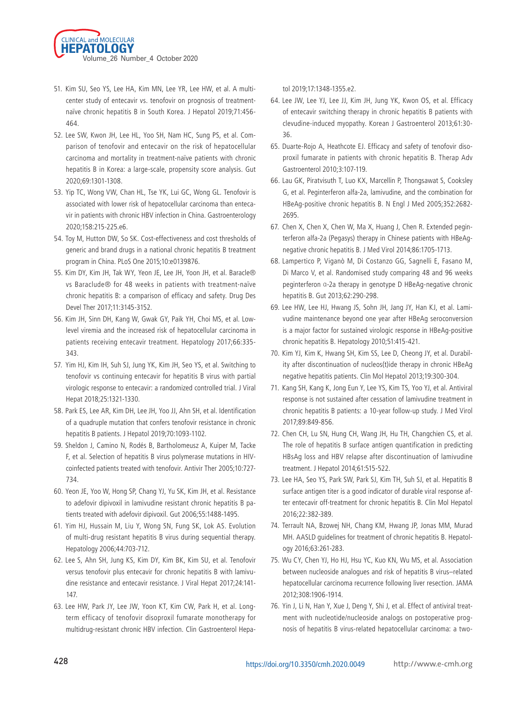

- 51. Kim SU, Seo YS, Lee HA, Kim MN, Lee YR, Lee HW, et al. A multicenter study of entecavir vs. tenofovir on prognosis of treatmentnaïve chronic hepatitis B in South Korea. J Hepatol 2019;71:456- 464.
- 52. Lee SW, Kwon JH, Lee HL, Yoo SH, Nam HC, Sung PS, et al. Comparison of tenofovir and entecavir on the risk of hepatocellular carcinoma and mortality in treatment-naïve patients with chronic hepatitis B in Korea: a large-scale, propensity score analysis. Gut 2020;69:1301-1308.
- 53. Yip TC, Wong VW, Chan HL, Tse YK, Lui GC, Wong GL. Tenofovir is associated with lower risk of hepatocellular carcinoma than entecavir in patients with chronic HBV infection in China. Gastroenterology 2020;158:215-225.e6.
- 54. Toy M, Hutton DW, So SK. Cost-effectiveness and cost thresholds of generic and brand drugs in a national chronic hepatitis B treatment program in China. PLoS One 2015;10:e0139876.
- 55. Kim DY, Kim JH, Tak WY, Yeon JE, Lee JH, Yoon JH, et al. Baracle® vs Baraclude® for 48 weeks in patients with treatment-naïve chronic hepatitis B: a comparison of efficacy and safety. Drug Des Devel Ther 2017;11:3145-3152.
- 56. Kim JH, Sinn DH, Kang W, Gwak GY, Paik YH, Choi MS, et al. Lowlevel viremia and the increased risk of hepatocellular carcinoma in patients receiving entecavir treatment. Hepatology 2017;66:335- 343.
- 57. Yim HJ, Kim IH, Suh SJ, Jung YK, Kim JH, Seo YS, et al. Switching to tenofovir vs continuing entecavir for hepatitis B virus with partial virologic response to entecavir: a randomized controlled trial. J Viral Hepat 2018;25:1321-1330.
- 58. Park ES, Lee AR, Kim DH, Lee JH, Yoo JJ, Ahn SH, et al. Identification of a quadruple mutation that confers tenofovir resistance in chronic hepatitis B patients. J Hepatol 2019;70:1093-1102.
- 59. Sheldon J, Camino N, Rodés B, Bartholomeusz A, Kuiper M, Tacke F, et al. Selection of hepatitis B virus polymerase mutations in HIVcoinfected patients treated with tenofovir. Antivir Ther 2005;10:727- 734.
- 60. Yeon JE, Yoo W, Hong SP, Chang YJ, Yu SK, Kim JH, et al. Resistance to adefovir dipivoxil in lamivudine resistant chronic hepatitis B patients treated with adefovir dipivoxil. Gut 2006;55:1488-1495.
- 61. Yim HJ, Hussain M, Liu Y, Wong SN, Fung SK, Lok AS. Evolution of multi-drug resistant hepatitis B virus during sequential therapy. Hepatology 2006;44:703-712.
- 62. Lee S, Ahn SH, Jung KS, Kim DY, Kim BK, Kim SU, et al. Tenofovir versus tenofovir plus entecavir for chronic hepatitis B with lamivudine resistance and entecavir resistance. J Viral Hepat 2017;24:141- 147.
- 63. Lee HW, Park JY, Lee JW, Yoon KT, Kim CW, Park H, et al. Longterm efficacy of tenofovir disoproxil fumarate monotherapy for multidrug-resistant chronic HBV infection. Clin Gastroenterol Hepa-

tol 2019;17:1348-1355.e2.

- 64. Lee JW, Lee YJ, Lee JJ, Kim JH, Jung YK, Kwon OS, et al. Efficacy of entecavir switching therapy in chronic hepatitis B patients with clevudine-induced myopathy. Korean J Gastroenterol 2013;61:30- 36.
- 65. Duarte-Rojo A, Heathcote EJ. Efficacy and safety of tenofovir disoproxil fumarate in patients with chronic hepatitis B. Therap Adv Gastroenterol 2010;3:107-119.
- 66. Lau GK, Piratvisuth T, Luo KX, Marcellin P, Thongsawat S, Cooksley G, et al. Peginterferon alfa-2a, lamivudine, and the combination for HBeAg-positive chronic hepatitis B. N Engl J Med 2005;352:2682- 2695.
- 67. Chen X, Chen X, Chen W, Ma X, Huang J, Chen R. Extended peginterferon alfa-2a (Pegasys) therapy in Chinese patients with HBeAgnegative chronic hepatitis B. J Med Virol 2014;86:1705-1713.
- 68. Lampertico P, Viganò M, Di Costanzo GG, Sagnelli E, Fasano M, Di Marco V, et al. Randomised study comparing 48 and 96 weeks peginterferon α-2a therapy in genotype D HBeAg-negative chronic hepatitis B. Gut 2013;62:290-298.
- 69. Lee HW, Lee HJ, Hwang JS, Sohn JH, Jang JY, Han KJ, et al. Lamivudine maintenance beyond one year after HBeAg seroconversion is a major factor for sustained virologic response in HBeAg-positive chronic hepatitis B. Hepatology 2010;51:415-421.
- 70. Kim YJ, Kim K, Hwang SH, Kim SS, Lee D, Cheong JY, et al. Durability after discontinuation of nucleos(t)ide therapy in chronic HBeAg negative hepatitis patients. Clin Mol Hepatol 2013;19:300-304.
- 71. Kang SH, Kang K, Jong Eun Y, Lee YS, Kim TS, Yoo YJ, et al. Antiviral response is not sustained after cessation of lamivudine treatment in chronic hepatitis B patients: a 10-year follow-up study. J Med Virol 2017;89:849-856.
- 72. Chen CH, Lu SN, Hung CH, Wang JH, Hu TH, Changchien CS, et al. The role of hepatitis B surface antigen quantification in predicting HBsAg loss and HBV relapse after discontinuation of lamivudine treatment. J Hepatol 2014;61:515-522.
- 73. Lee HA, Seo YS, Park SW, Park SJ, Kim TH, Suh SJ, et al. Hepatitis B surface antigen titer is a good indicator of durable viral response after entecavir off-treatment for chronic hepatitis B. Clin Mol Hepatol 2016;22:382-389.
- 74. Terrault NA, Bzowej NH, Chang KM, Hwang JP, Jonas MM, Murad MH. AASLD guidelines for treatment of chronic hepatitis B. Hepatology 2016;63:261-283.
- 75. Wu CY, Chen YJ, Ho HJ, Hsu YC, Kuo KN, Wu MS, et al. Association between nucleoside analogues and risk of hepatitis B virus–related hepatocellular carcinoma recurrence following liver resection. JAMA 2012;308:1906-1914.
- 76. Yin J, Li N, Han Y, Xue J, Deng Y, Shi J, et al. Effect of antiviral treatment with nucleotide/nucleoside analogs on postoperative prognosis of hepatitis B virus-related hepatocellular carcinoma: a two-